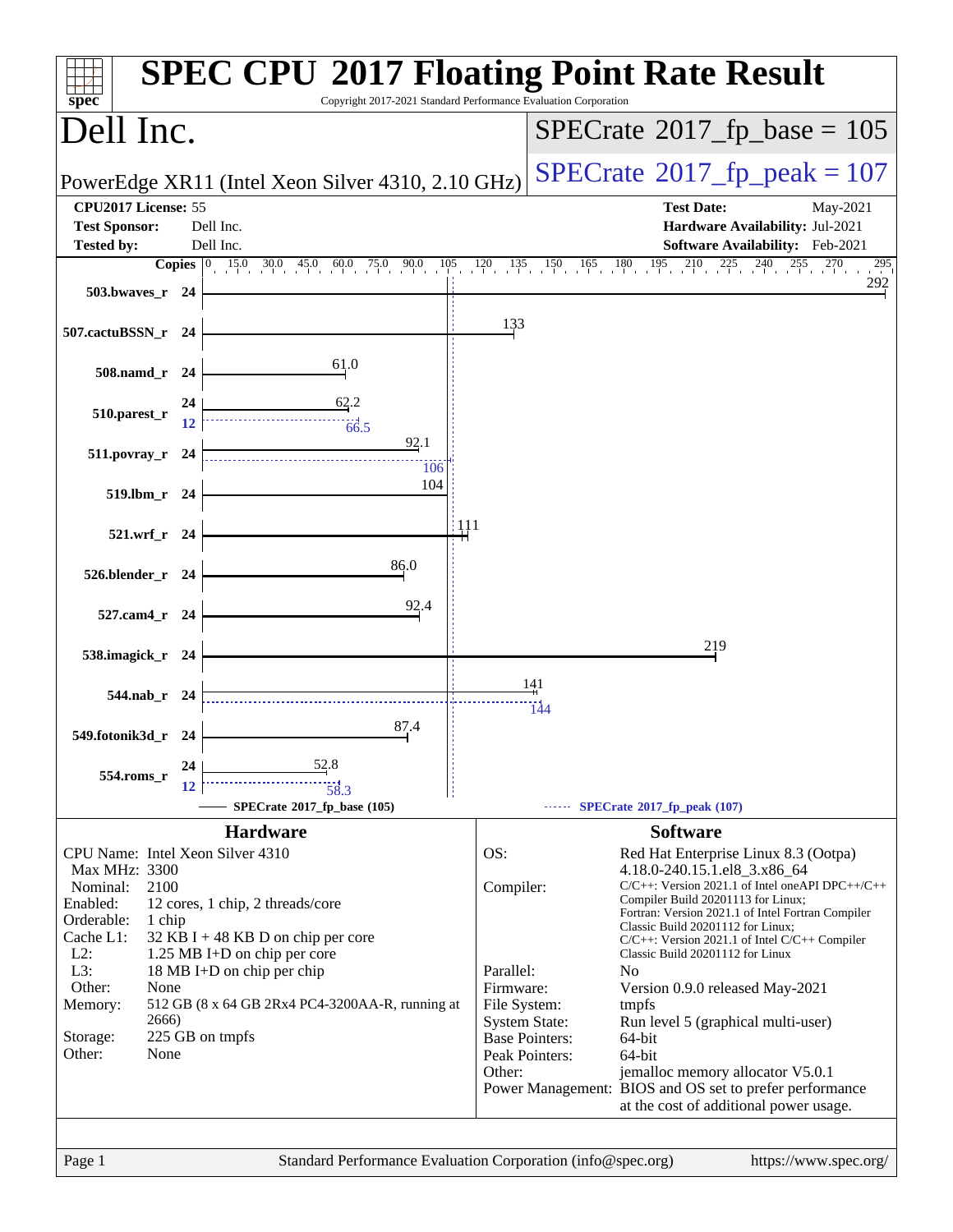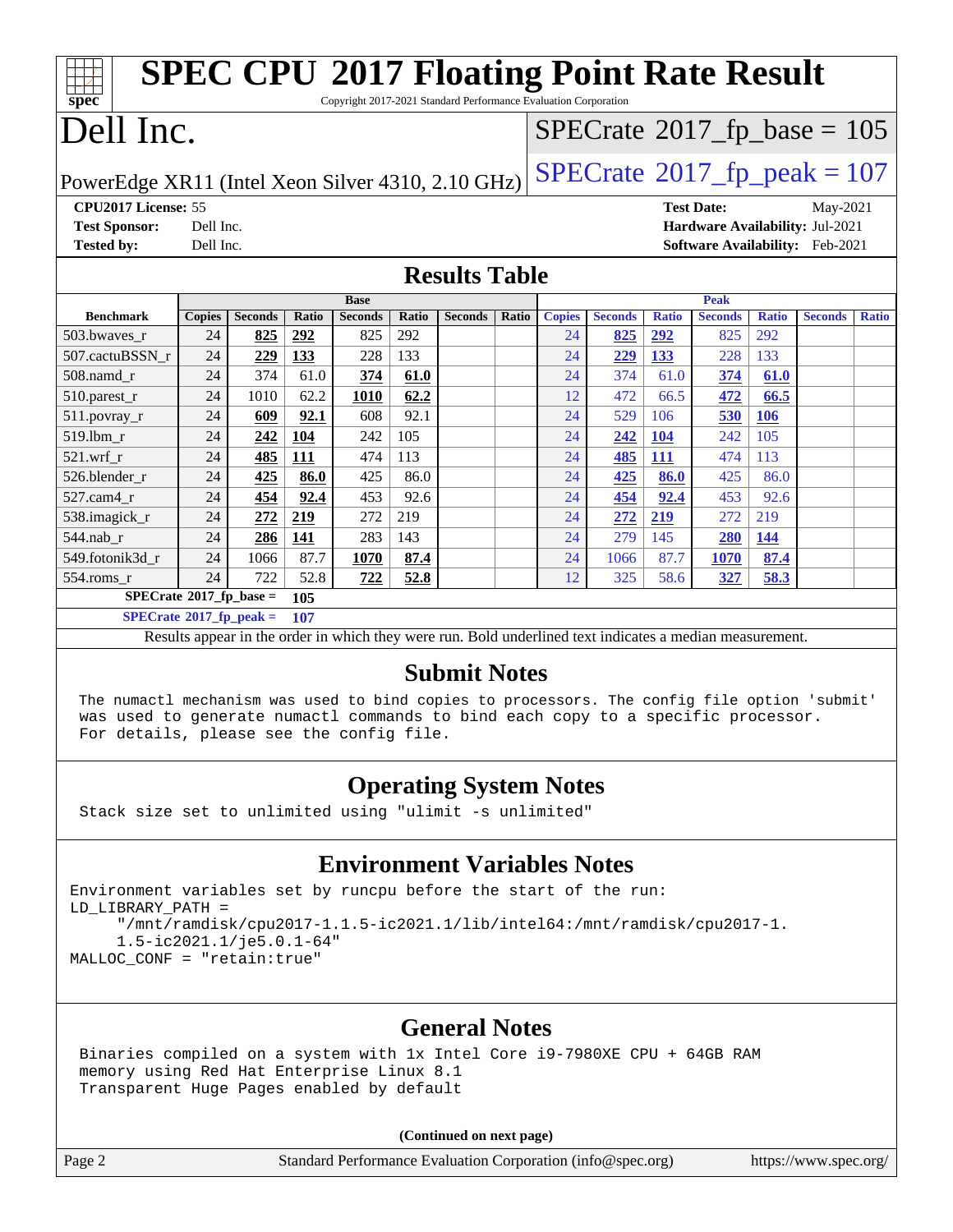| <b>SPEC CPU®2017 Floating Point Rate Result</b>                                     |                                    |                |       |                |       |                |       |                                 |                |              |                                       |              |                                        |              |
|-------------------------------------------------------------------------------------|------------------------------------|----------------|-------|----------------|-------|----------------|-------|---------------------------------|----------------|--------------|---------------------------------------|--------------|----------------------------------------|--------------|
| spec<br>Copyright 2017-2021 Standard Performance Evaluation Corporation             |                                    |                |       |                |       |                |       |                                 |                |              |                                       |              |                                        |              |
| Dell Inc.                                                                           |                                    |                |       |                |       |                |       |                                 |                |              | $SPECrate^{\circ}2017_fp\_base = 105$ |              |                                        |              |
| $SPECTate@2017_fp\_peak = 107$<br>PowerEdge XR11 (Intel Xeon Silver 4310, 2.10 GHz) |                                    |                |       |                |       |                |       |                                 |                |              |                                       |              |                                        |              |
| CPU2017 License: 55                                                                 |                                    |                |       |                |       |                |       |                                 |                |              | <b>Test Date:</b>                     |              | May-2021                               |              |
| <b>Test Sponsor:</b>                                                                | Dell Inc.                          |                |       |                |       |                |       | Hardware Availability: Jul-2021 |                |              |                                       |              |                                        |              |
| <b>Tested by:</b>                                                                   | Dell Inc.                          |                |       |                |       |                |       |                                 |                |              |                                       |              | <b>Software Availability:</b> Feb-2021 |              |
| <b>Results Table</b>                                                                |                                    |                |       |                |       |                |       |                                 |                |              |                                       |              |                                        |              |
|                                                                                     |                                    |                |       | <b>Base</b>    |       |                |       |                                 |                |              | Peak                                  |              |                                        |              |
| <b>Benchmark</b>                                                                    | <b>Copies</b>                      | <b>Seconds</b> | Ratio | <b>Seconds</b> | Ratio | <b>Seconds</b> | Ratio | <b>Copies</b>                   | <b>Seconds</b> | <b>Ratio</b> | <b>Seconds</b>                        | <b>Ratio</b> | <b>Seconds</b>                         | <b>Ratio</b> |
| 503.bwaves r                                                                        | 24                                 | 825            | 292   | 825            | 292   |                |       | 24                              | 825            | 292          | 825                                   | 292          |                                        |              |
| 507.cactuBSSN r                                                                     | 24                                 | 229            | 133   | 228            | 133   |                |       | 24                              | 229            | 133          | 228                                   | 133          |                                        |              |
| 508.namd r                                                                          | 24                                 | 374            | 61.0  | 374            | 61.0  |                |       | 24                              | 374            | 61.0         | 374                                   | 61.0         |                                        |              |
| 510.parest_r                                                                        | 24                                 | 1010           | 62.2  | 1010           | 62.2  |                |       | 12                              | 472            | 66.5         | 472                                   | 66.5         |                                        |              |
| $511. povray_r$                                                                     | 24                                 | 609            | 92.1  | 608            | 92.1  |                |       | 24                              | 529            | 106          | 530                                   | 106          |                                        |              |
| 519.lbm r                                                                           | 24                                 | 242            | 104   | 242            | 105   |                |       | 24                              | 242            | 104          | 242                                   | 105          |                                        |              |
| $521.wrf$ r                                                                         | 24                                 | 485            | 111   | 474            | 113   |                |       | 24                              | 485            | <b>111</b>   | 474                                   | 113          |                                        |              |
| 526.blender_r                                                                       | 24                                 | 425            | 86.0  | 425            | 86.0  |                |       | 24                              | 425            | 86.0         | 425                                   | 86.0         |                                        |              |
| 527.cam4 r                                                                          | 24                                 | 454            | 92.4  | 453            | 92.6  |                |       | 24                              | 454            | 92.4         | 453                                   | 92.6         |                                        |              |
| 538.imagick_r                                                                       | 24                                 | 272            | 219   | 272            | 219   |                |       | 24                              | 272            | 219          | 272                                   | 219          |                                        |              |
| 544.nab_r                                                                           | 24                                 | 286            | 141   | 283            | 143   |                |       | 24                              | 279            | 145          | 280                                   | 144          |                                        |              |
| 549.fotonik3d_r                                                                     | 24                                 | 1066           | 87.7  | 1070           | 87.4  |                |       | 24                              | 1066           | 87.7         | 1070                                  | 87.4         |                                        |              |
| $554$ .roms r                                                                       | 24                                 | 722            | 52.8  | 722            | 52.8  |                |       | 12                              | 325            | 58.6         | 327                                   | 58.3         |                                        |              |
|                                                                                     | $SPECrate^*2017_fp\_base =$<br>105 |                |       |                |       |                |       |                                 |                |              |                                       |              |                                        |              |
| $SPECrate^{\circ}2017$ _fp_peak =                                                   |                                    |                | 107   |                |       |                |       |                                 |                |              |                                       |              |                                        |              |

Results appear in the [order in which they were run.](http://www.spec.org/auto/cpu2017/Docs/result-fields.html#RunOrder) Bold underlined text [indicates a median measurement.](http://www.spec.org/auto/cpu2017/Docs/result-fields.html#Median)

## **[Submit Notes](http://www.spec.org/auto/cpu2017/Docs/result-fields.html#SubmitNotes)**

 The numactl mechanism was used to bind copies to processors. The config file option 'submit' was used to generate numactl commands to bind each copy to a specific processor. For details, please see the config file.

## **[Operating System Notes](http://www.spec.org/auto/cpu2017/Docs/result-fields.html#OperatingSystemNotes)**

Stack size set to unlimited using "ulimit -s unlimited"

## **[Environment Variables Notes](http://www.spec.org/auto/cpu2017/Docs/result-fields.html#EnvironmentVariablesNotes)**

Environment variables set by runcpu before the start of the run: LD\_LIBRARY\_PATH = "/mnt/ramdisk/cpu2017-1.1.5-ic2021.1/lib/intel64:/mnt/ramdisk/cpu2017-1. 1.5-ic2021.1/je5.0.1-64" MALLOC\_CONF = "retain:true"

## **[General Notes](http://www.spec.org/auto/cpu2017/Docs/result-fields.html#GeneralNotes)**

 Binaries compiled on a system with 1x Intel Core i9-7980XE CPU + 64GB RAM memory using Red Hat Enterprise Linux 8.1 Transparent Huge Pages enabled by default

**(Continued on next page)**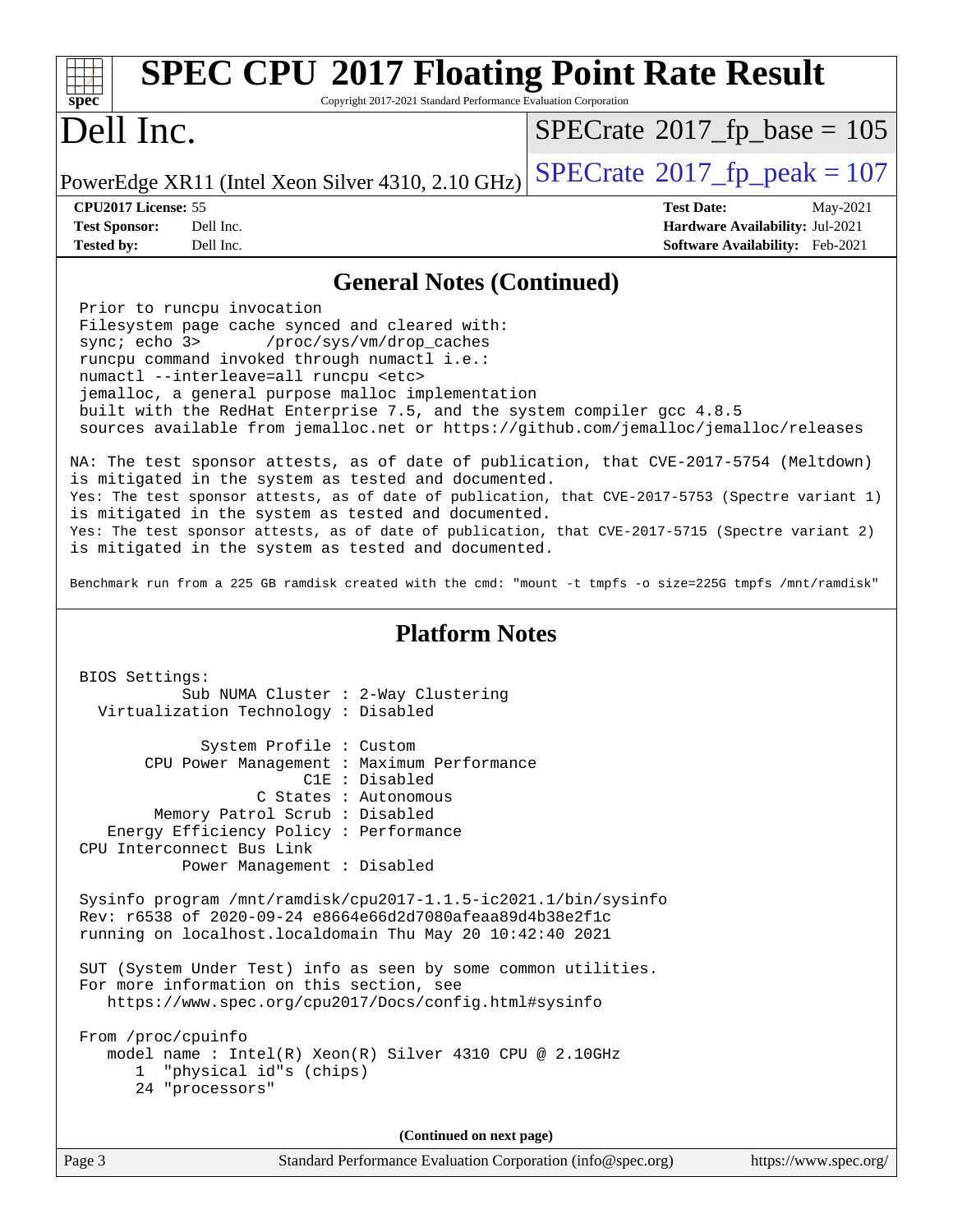| <b>SPEC CPU®2017 Floating Point Rate Result</b><br>spec<br>Copyright 2017-2021 Standard Performance Evaluation Corporation                                                                                                                                                                                                                                                                                                                                                                                                                     |                                 |
|------------------------------------------------------------------------------------------------------------------------------------------------------------------------------------------------------------------------------------------------------------------------------------------------------------------------------------------------------------------------------------------------------------------------------------------------------------------------------------------------------------------------------------------------|---------------------------------|
| Dell Inc.                                                                                                                                                                                                                                                                                                                                                                                                                                                                                                                                      | $SPECTate@2017_fp\_base = 105$  |
| PowerEdge XR11 (Intel Xeon Silver 4310, 2.10 GHz)                                                                                                                                                                                                                                                                                                                                                                                                                                                                                              | $SPECrate@2017_fp\_peak = 107$  |
| CPU2017 License: 55                                                                                                                                                                                                                                                                                                                                                                                                                                                                                                                            | <b>Test Date:</b><br>May-2021   |
| <b>Test Sponsor:</b><br>Dell Inc.                                                                                                                                                                                                                                                                                                                                                                                                                                                                                                              | Hardware Availability: Jul-2021 |
| Dell Inc.<br><b>Tested by:</b>                                                                                                                                                                                                                                                                                                                                                                                                                                                                                                                 | Software Availability: Feb-2021 |
| <b>General Notes (Continued)</b>                                                                                                                                                                                                                                                                                                                                                                                                                                                                                                               |                                 |
| Prior to runcpu invocation<br>Filesystem page cache synced and cleared with:<br>sync; echo 3><br>/proc/sys/vm/drop_caches<br>runcpu command invoked through numactl i.e.:<br>numactl --interleave=all runcpu <etc><br/>jemalloc, a general purpose malloc implementation<br/>built with the RedHat Enterprise 7.5, and the system compiler gcc 4.8.5<br/>sources available from jemalloc.net or https://github.com/jemalloc/jemalloc/releases<br/>NA: The test sponsor attests, as of date of publication, that CVE-2017-5754 (Meltdown)</etc> |                                 |
| is mitigated in the system as tested and documented.                                                                                                                                                                                                                                                                                                                                                                                                                                                                                           |                                 |
| Yes: The test sponsor attests, as of date of publication, that CVE-2017-5753 (Spectre variant 1)<br>is mitigated in the system as tested and documented.                                                                                                                                                                                                                                                                                                                                                                                       |                                 |
| Yes: The test sponsor attests, as of date of publication, that CVE-2017-5715 (Spectre variant 2)<br>is mitigated in the system as tested and documented.                                                                                                                                                                                                                                                                                                                                                                                       |                                 |
| Benchmark run from a 225 GB ramdisk created with the cmd: "mount -t tmpfs -o size=225G tmpfs /mnt/ramdisk"                                                                                                                                                                                                                                                                                                                                                                                                                                     |                                 |
| <b>Platform Notes</b>                                                                                                                                                                                                                                                                                                                                                                                                                                                                                                                          |                                 |
| BIOS Settings:<br>Sub NUMA Cluster : 2-Way Clustering<br>Virtualization Technology : Disabled                                                                                                                                                                                                                                                                                                                                                                                                                                                  |                                 |
| System Profile : Custom                                                                                                                                                                                                                                                                                                                                                                                                                                                                                                                        |                                 |
| CPU Power Management : Maximum Performance<br>C1E : Disabled                                                                                                                                                                                                                                                                                                                                                                                                                                                                                   |                                 |
| C States : Autonomous                                                                                                                                                                                                                                                                                                                                                                                                                                                                                                                          |                                 |
| Memory Patrol Scrub: Disabled                                                                                                                                                                                                                                                                                                                                                                                                                                                                                                                  |                                 |
| Energy Efficiency Policy : Performance<br>CPU Interconnect Bus Link                                                                                                                                                                                                                                                                                                                                                                                                                                                                            |                                 |
| Power Management : Disabled                                                                                                                                                                                                                                                                                                                                                                                                                                                                                                                    |                                 |
| Sysinfo program /mnt/ramdisk/cpu2017-1.1.5-ic2021.1/bin/sysinfo<br>Rev: r6538 of 2020-09-24 e8664e66d2d7080afeaa89d4b38e2f1c<br>running on localhost. localdomain Thu May 20 10:42:40 2021                                                                                                                                                                                                                                                                                                                                                     |                                 |
| SUT (System Under Test) info as seen by some common utilities.<br>For more information on this section, see<br>https://www.spec.org/cpu2017/Docs/config.html#sysinfo                                                                                                                                                                                                                                                                                                                                                                           |                                 |
| From /proc/cpuinfo<br>model name : Intel(R) Xeon(R) Silver 4310 CPU @ 2.10GHz<br>"physical id"s (chips)<br>$\mathbf{1}$<br>24 "processors"                                                                                                                                                                                                                                                                                                                                                                                                     |                                 |
| (Continued on next page)                                                                                                                                                                                                                                                                                                                                                                                                                                                                                                                       |                                 |
| Page 3<br>Standard Performance Evaluation Corporation (info@spec.org)                                                                                                                                                                                                                                                                                                                                                                                                                                                                          | https://www.spec.org/           |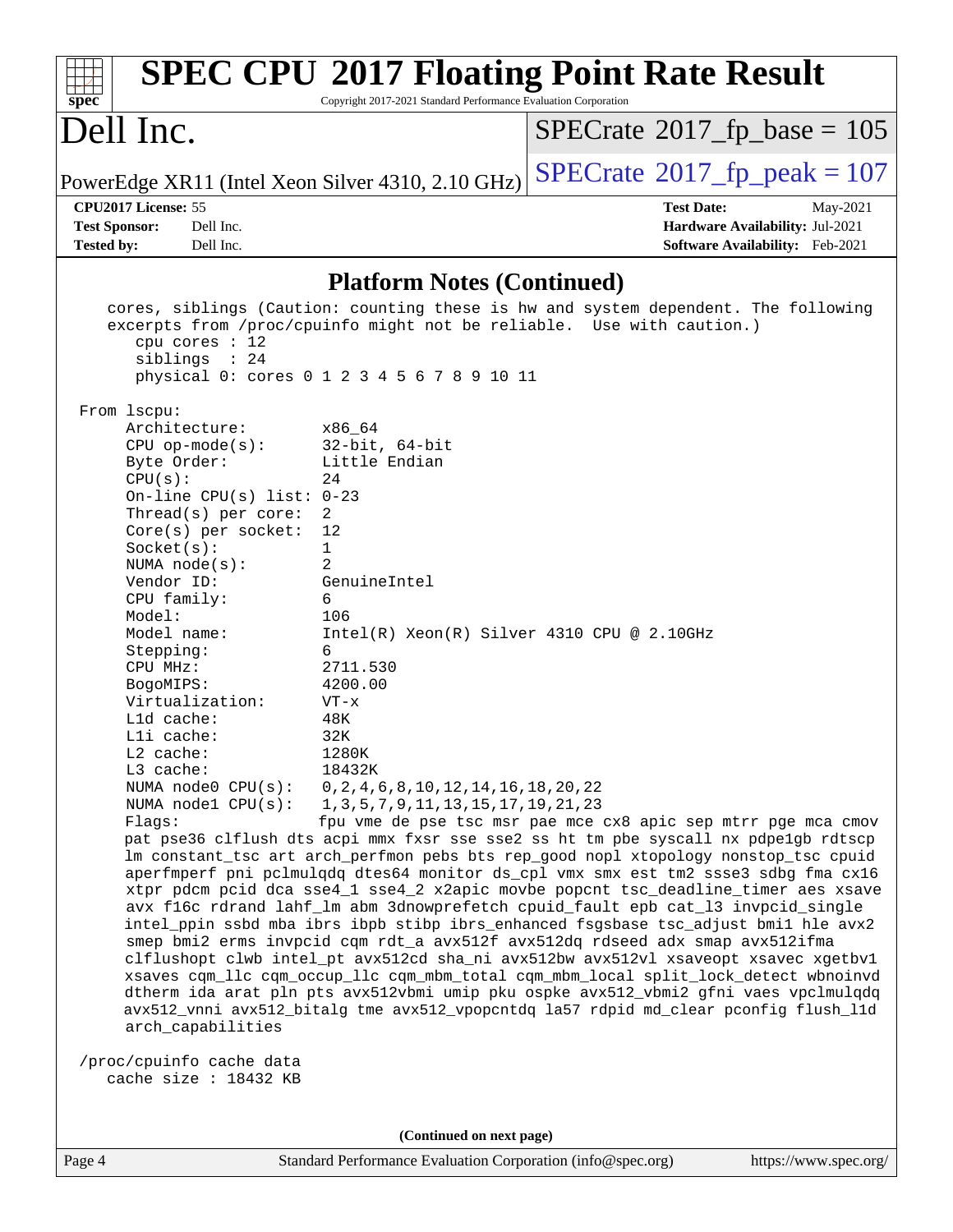| $spec^*$                                            | Copyright 2017-2021 Standard Performance Evaluation Corporation                          | <b>SPEC CPU®2017 Floating Point Rate Result</b>                                                                                                                                                                                                                                                                                                                                                                                                                                                                                                                                                                                                                                                                                                                                                                                                                                                                                                                             |
|-----------------------------------------------------|------------------------------------------------------------------------------------------|-----------------------------------------------------------------------------------------------------------------------------------------------------------------------------------------------------------------------------------------------------------------------------------------------------------------------------------------------------------------------------------------------------------------------------------------------------------------------------------------------------------------------------------------------------------------------------------------------------------------------------------------------------------------------------------------------------------------------------------------------------------------------------------------------------------------------------------------------------------------------------------------------------------------------------------------------------------------------------|
| Dell Inc.                                           |                                                                                          | $SPECrate^{\circ}2017$ fp base = 105                                                                                                                                                                                                                                                                                                                                                                                                                                                                                                                                                                                                                                                                                                                                                                                                                                                                                                                                        |
| PowerEdge XR11 (Intel Xeon Silver 4310, 2.10 GHz)   |                                                                                          | $SPECTate$ <sup>®</sup> 2017_fp_peak = 107                                                                                                                                                                                                                                                                                                                                                                                                                                                                                                                                                                                                                                                                                                                                                                                                                                                                                                                                  |
| CPU2017 License: 55                                 |                                                                                          | <b>Test Date:</b><br>May-2021                                                                                                                                                                                                                                                                                                                                                                                                                                                                                                                                                                                                                                                                                                                                                                                                                                                                                                                                               |
| <b>Test Sponsor:</b><br>Dell Inc.                   |                                                                                          | Hardware Availability: Jul-2021                                                                                                                                                                                                                                                                                                                                                                                                                                                                                                                                                                                                                                                                                                                                                                                                                                                                                                                                             |
| <b>Tested by:</b><br>Dell Inc.                      |                                                                                          | Software Availability: Feb-2021                                                                                                                                                                                                                                                                                                                                                                                                                                                                                                                                                                                                                                                                                                                                                                                                                                                                                                                                             |
|                                                     | <b>Platform Notes (Continued)</b>                                                        |                                                                                                                                                                                                                                                                                                                                                                                                                                                                                                                                                                                                                                                                                                                                                                                                                                                                                                                                                                             |
| cpu cores $: 12$<br>siblings : 24                   | physical 0: cores 0 1 2 3 4 5 6 7 8 9 10 11                                              | cores, siblings (Caution: counting these is hw and system dependent. The following<br>excerpts from /proc/cpuinfo might not be reliable. Use with caution.)                                                                                                                                                                                                                                                                                                                                                                                                                                                                                                                                                                                                                                                                                                                                                                                                                 |
| From lscpu:<br>Architecture:                        | x86_64                                                                                   |                                                                                                                                                                                                                                                                                                                                                                                                                                                                                                                                                                                                                                                                                                                                                                                                                                                                                                                                                                             |
| $CPU$ op-mode( $s$ ):<br>Byte Order:                | $32$ -bit, $64$ -bit<br>Little Endian                                                    |                                                                                                                                                                                                                                                                                                                                                                                                                                                                                                                                                                                                                                                                                                                                                                                                                                                                                                                                                                             |
| CPU(s):                                             | 24                                                                                       |                                                                                                                                                                                                                                                                                                                                                                                                                                                                                                                                                                                                                                                                                                                                                                                                                                                                                                                                                                             |
| On-line CPU(s) list: $0-23$<br>Thread(s) per core:  | 2                                                                                        |                                                                                                                                                                                                                                                                                                                                                                                                                                                                                                                                                                                                                                                                                                                                                                                                                                                                                                                                                                             |
| $Core(s)$ per socket:                               | 12                                                                                       |                                                                                                                                                                                                                                                                                                                                                                                                                                                                                                                                                                                                                                                                                                                                                                                                                                                                                                                                                                             |
| Socket(s):                                          | 1                                                                                        |                                                                                                                                                                                                                                                                                                                                                                                                                                                                                                                                                                                                                                                                                                                                                                                                                                                                                                                                                                             |
| NUMA $node(s):$                                     | $\overline{2}$                                                                           |                                                                                                                                                                                                                                                                                                                                                                                                                                                                                                                                                                                                                                                                                                                                                                                                                                                                                                                                                                             |
| Vendor ID:                                          | GenuineIntel                                                                             |                                                                                                                                                                                                                                                                                                                                                                                                                                                                                                                                                                                                                                                                                                                                                                                                                                                                                                                                                                             |
| CPU family:                                         | 6                                                                                        |                                                                                                                                                                                                                                                                                                                                                                                                                                                                                                                                                                                                                                                                                                                                                                                                                                                                                                                                                                             |
| Model:                                              | 106                                                                                      |                                                                                                                                                                                                                                                                                                                                                                                                                                                                                                                                                                                                                                                                                                                                                                                                                                                                                                                                                                             |
| Model name:<br>Stepping:                            | $Intel(R) Xeon(R) Silver 4310 CPU @ 2.10GHz$<br>6                                        |                                                                                                                                                                                                                                                                                                                                                                                                                                                                                                                                                                                                                                                                                                                                                                                                                                                                                                                                                                             |
| CPU MHz:                                            | 2711.530                                                                                 |                                                                                                                                                                                                                                                                                                                                                                                                                                                                                                                                                                                                                                                                                                                                                                                                                                                                                                                                                                             |
| BogoMIPS:                                           | 4200.00                                                                                  |                                                                                                                                                                                                                                                                                                                                                                                                                                                                                                                                                                                                                                                                                                                                                                                                                                                                                                                                                                             |
| Virtualization:                                     | $VT - x$                                                                                 |                                                                                                                                                                                                                                                                                                                                                                                                                                                                                                                                                                                                                                                                                                                                                                                                                                                                                                                                                                             |
| L1d cache:                                          | 48K                                                                                      |                                                                                                                                                                                                                                                                                                                                                                                                                                                                                                                                                                                                                                                                                                                                                                                                                                                                                                                                                                             |
| Lli cache:                                          | 32K                                                                                      |                                                                                                                                                                                                                                                                                                                                                                                                                                                                                                                                                                                                                                                                                                                                                                                                                                                                                                                                                                             |
| L2 cache:                                           | 1280K                                                                                    |                                                                                                                                                                                                                                                                                                                                                                                                                                                                                                                                                                                                                                                                                                                                                                                                                                                                                                                                                                             |
| L3 cache:                                           | 18432K                                                                                   |                                                                                                                                                                                                                                                                                                                                                                                                                                                                                                                                                                                                                                                                                                                                                                                                                                                                                                                                                                             |
| NUMA node0 CPU(s):<br>NUMA node1 CPU(s):            | $0, 2, 4, 6, 8, 10, 12, 14, 16, 18, 20, 22$<br>1, 3, 5, 7, 9, 11, 13, 15, 17, 19, 21, 23 |                                                                                                                                                                                                                                                                                                                                                                                                                                                                                                                                                                                                                                                                                                                                                                                                                                                                                                                                                                             |
| Flaqs:                                              |                                                                                          | fpu vme de pse tsc msr pae mce cx8 apic sep mtrr pge mca cmov                                                                                                                                                                                                                                                                                                                                                                                                                                                                                                                                                                                                                                                                                                                                                                                                                                                                                                               |
| arch_capabilities                                   |                                                                                          | pat pse36 clflush dts acpi mmx fxsr sse sse2 ss ht tm pbe syscall nx pdpelgb rdtscp<br>lm constant_tsc art arch_perfmon pebs bts rep_good nopl xtopology nonstop_tsc cpuid<br>aperfmperf pni pclmulqdq dtes64 monitor ds_cpl vmx smx est tm2 ssse3 sdbg fma cx16<br>xtpr pdcm pcid dca sse4_1 sse4_2 x2apic movbe popcnt tsc_deadline_timer aes xsave<br>avx f16c rdrand lahf_lm abm 3dnowprefetch cpuid_fault epb cat_13 invpcid_single<br>intel_ppin ssbd mba ibrs ibpb stibp ibrs_enhanced fsgsbase tsc_adjust bmil hle avx2<br>smep bmi2 erms invpcid cqm rdt_a avx512f avx512dq rdseed adx smap avx512ifma<br>clflushopt clwb intel_pt avx512cd sha_ni avx512bw avx512vl xsaveopt xsavec xgetbvl<br>xsaves cqm_llc cqm_occup_llc cqm_mbm_total cqm_mbm_local split_lock_detect wbnoinvd<br>dtherm ida arat pln pts avx512vbmi umip pku ospke avx512_vbmi2 gfni vaes vpclmulqdq<br>avx512_vnni avx512_bitalg tme avx512_vpopcntdq la57 rdpid md_clear pconfig flush_11d |
| /proc/cpuinfo cache data<br>cache size $: 18432$ KB |                                                                                          |                                                                                                                                                                                                                                                                                                                                                                                                                                                                                                                                                                                                                                                                                                                                                                                                                                                                                                                                                                             |
|                                                     | (Continued on next page)                                                                 |                                                                                                                                                                                                                                                                                                                                                                                                                                                                                                                                                                                                                                                                                                                                                                                                                                                                                                                                                                             |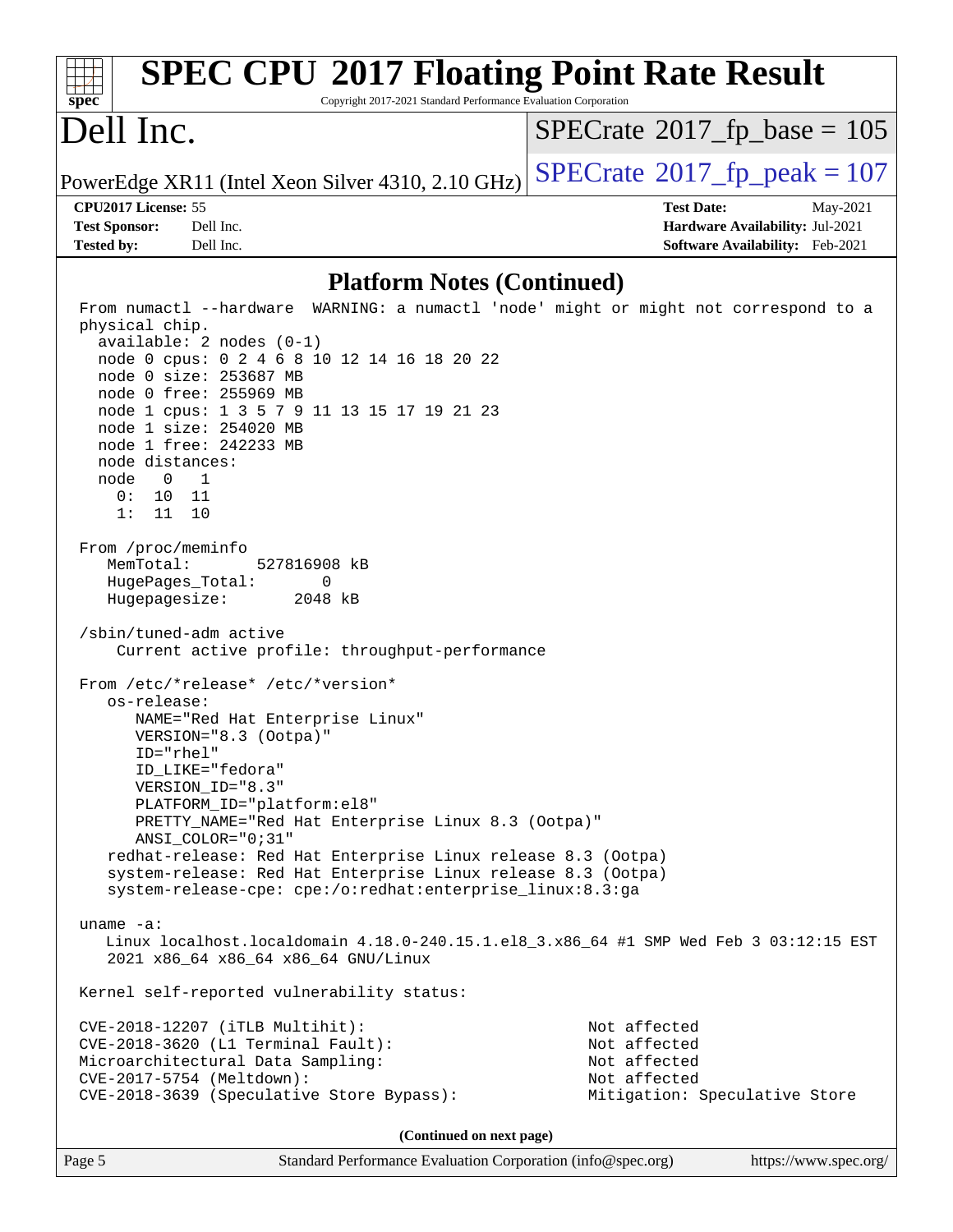| <b>SPEC CPU®2017 Floating Point Rate Result</b><br>$spec*$<br>Copyright 2017-2021 Standard Performance Evaluation Corporation |                                            |
|-------------------------------------------------------------------------------------------------------------------------------|--------------------------------------------|
| Dell Inc.                                                                                                                     | $SPECTate$ <sup>®</sup> 2017_fp_base = 105 |
| PowerEdge XR11 (Intel Xeon Silver 4310, 2.10 GHz)                                                                             | $SPECrate^{\circ}2017$ _fp_peak = 107      |
| CPU2017 License: 55                                                                                                           | <b>Test Date:</b><br>May-2021              |
| <b>Test Sponsor:</b><br>Dell Inc.                                                                                             | Hardware Availability: Jul-2021            |
| <b>Tested by:</b><br>Dell Inc.                                                                                                | Software Availability: Feb-2021            |
| <b>Platform Notes (Continued)</b>                                                                                             |                                            |
|                                                                                                                               |                                            |
| From numactl --hardware WARNING: a numactl 'node' might or might not correspond to a<br>physical chip.                        |                                            |
| $available: 2 nodes (0-1)$                                                                                                    |                                            |
| node 0 cpus: 0 2 4 6 8 10 12 14 16 18 20 22                                                                                   |                                            |
| node 0 size: 253687 MB                                                                                                        |                                            |
| node 0 free: 255969 MB                                                                                                        |                                            |
| node 1 cpus: 1 3 5 7 9 11 13 15 17 19 21 23<br>node 1 size: 254020 MB                                                         |                                            |
| node 1 free: 242233 MB                                                                                                        |                                            |
| node distances:                                                                                                               |                                            |
| node<br>0<br>1                                                                                                                |                                            |
| 0:<br>10 11                                                                                                                   |                                            |
| 1:<br>11<br>10                                                                                                                |                                            |
| From /proc/meminfo                                                                                                            |                                            |
| MemTotal:<br>527816908 kB                                                                                                     |                                            |
| HugePages_Total:<br>0                                                                                                         |                                            |
| Hugepagesize:<br>2048 kB                                                                                                      |                                            |
| /sbin/tuned-adm active<br>Current active profile: throughput-performance                                                      |                                            |
| From /etc/*release* /etc/*version*                                                                                            |                                            |
| os-release:                                                                                                                   |                                            |
| NAME="Red Hat Enterprise Linux"                                                                                               |                                            |
| VERSION="8.3 (Ootpa)"                                                                                                         |                                            |
| ID="rhel"<br>ID LIKE="fedora"                                                                                                 |                                            |
| VERSION_ID="8.3"                                                                                                              |                                            |
| PLATFORM_ID="platform:el8"                                                                                                    |                                            |
| PRETTY_NAME="Red Hat Enterprise Linux 8.3 (Ootpa)"                                                                            |                                            |
| ANSI COLOR="0;31"                                                                                                             |                                            |
| redhat-release: Red Hat Enterprise Linux release 8.3 (Ootpa)                                                                  |                                            |
| system-release: Red Hat Enterprise Linux release 8.3 (Ootpa)<br>system-release-cpe: cpe:/o:redhat:enterprise_linux:8.3:ga     |                                            |
|                                                                                                                               |                                            |
| uname $-a$ :                                                                                                                  |                                            |
| Linux localhost.localdomain 4.18.0-240.15.1.el8_3.x86_64 #1 SMP Wed Feb 3 03:12:15 EST<br>2021 x86_64 x86_64 x86_64 GNU/Linux |                                            |
| Kernel self-reported vulnerability status:                                                                                    |                                            |
| CVE-2018-12207 (iTLB Multihit):                                                                                               | Not affected                               |
| CVE-2018-3620 (L1 Terminal Fault):                                                                                            | Not affected                               |
| Microarchitectural Data Sampling:                                                                                             | Not affected                               |
| CVE-2017-5754 (Meltdown):                                                                                                     | Not affected                               |
| CVE-2018-3639 (Speculative Store Bypass):                                                                                     | Mitigation: Speculative Store              |
| (Continued on next page)                                                                                                      |                                            |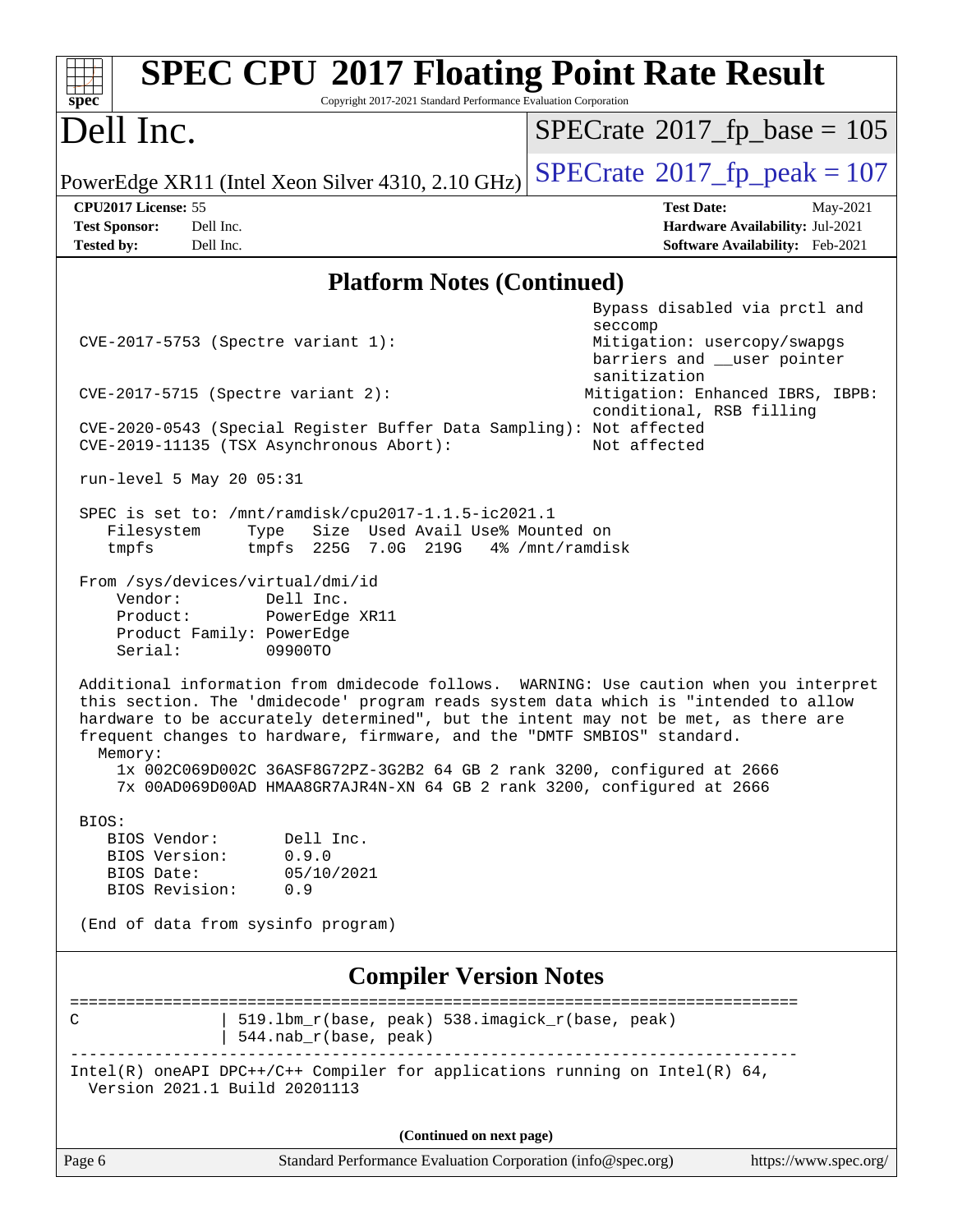| <b>SPEC CPU®2017 Floating Point Rate Result</b><br>Copyright 2017-2021 Standard Performance Evaluation Corporation<br>$spec^*$                                                                                                                                                                                                                                                                                                                                                                                 |                                                                                                                                                            |  |  |  |  |
|----------------------------------------------------------------------------------------------------------------------------------------------------------------------------------------------------------------------------------------------------------------------------------------------------------------------------------------------------------------------------------------------------------------------------------------------------------------------------------------------------------------|------------------------------------------------------------------------------------------------------------------------------------------------------------|--|--|--|--|
| Dell Inc.                                                                                                                                                                                                                                                                                                                                                                                                                                                                                                      | $SPECrate^{\circ}2017$ [p base = 105                                                                                                                       |  |  |  |  |
| PowerEdge XR11 (Intel Xeon Silver 4310, 2.10 GHz)                                                                                                                                                                                                                                                                                                                                                                                                                                                              | $SPECrate^{\circ}2017$ fp peak = 107                                                                                                                       |  |  |  |  |
| CPU2017 License: 55<br><b>Test Sponsor:</b><br>Dell Inc.<br>Dell Inc.<br><b>Tested by:</b>                                                                                                                                                                                                                                                                                                                                                                                                                     | <b>Test Date:</b><br>May-2021<br>Hardware Availability: Jul-2021<br>Software Availability: Feb-2021                                                        |  |  |  |  |
| <b>Platform Notes (Continued)</b>                                                                                                                                                                                                                                                                                                                                                                                                                                                                              |                                                                                                                                                            |  |  |  |  |
| CVE-2017-5753 (Spectre variant 1):<br>$CVE-2017-5715$ (Spectre variant 2):                                                                                                                                                                                                                                                                                                                                                                                                                                     | Bypass disabled via prctl and<br>seccomp<br>Mitigation: usercopy/swapgs<br>barriers and __user pointer<br>sanitization<br>Mitigation: Enhanced IBRS, IBPB: |  |  |  |  |
| CVE-2020-0543 (Special Register Buffer Data Sampling): Not affected<br>CVE-2019-11135 (TSX Asynchronous Abort):                                                                                                                                                                                                                                                                                                                                                                                                | conditional, RSB filling<br>Not affected                                                                                                                   |  |  |  |  |
| run-level 5 May 20 05:31                                                                                                                                                                                                                                                                                                                                                                                                                                                                                       |                                                                                                                                                            |  |  |  |  |
| SPEC is set to: /mnt/ramdisk/cpu2017-1.1.5-ic2021.1<br>Size Used Avail Use% Mounted on<br>Filesystem<br>Type<br>tmpfs<br>tmpfs 225G 7.0G 219G                                                                                                                                                                                                                                                                                                                                                                  | 4% /mnt/ramdisk                                                                                                                                            |  |  |  |  |
| From /sys/devices/virtual/dmi/id<br>Vendor:<br>Dell Inc.<br>Product:<br>PowerEdge XR11<br>Product Family: PowerEdge<br>09900TO<br>Serial:                                                                                                                                                                                                                                                                                                                                                                      |                                                                                                                                                            |  |  |  |  |
| Additional information from dmidecode follows. WARNING: Use caution when you interpret<br>this section. The 'dmidecode' program reads system data which is "intended to allow<br>hardware to be accurately determined", but the intent may not be met, as there are<br>frequent changes to hardware, firmware, and the "DMTF SMBIOS" standard.<br>Memory:<br>1x 002C069D002C 36ASF8G72PZ-3G2B2 64 GB 2 rank 3200, configured at 2666<br>7x 00AD069D00AD HMAA8GR7AJR4N-XN 64 GB 2 rank 3200, configured at 2666 |                                                                                                                                                            |  |  |  |  |
| BIOS:<br>BIOS Vendor:<br>Dell Inc.<br>0.9.0<br>BIOS Version:<br>BIOS Date:<br>05/10/2021<br>BIOS Revision:<br>0.9<br>(End of data from sysinfo program)                                                                                                                                                                                                                                                                                                                                                        |                                                                                                                                                            |  |  |  |  |
| <b>Compiler Version Notes</b>                                                                                                                                                                                                                                                                                                                                                                                                                                                                                  |                                                                                                                                                            |  |  |  |  |
| 519.1bm_r(base, peak) 538.imagick_r(base, peak)<br>С<br>$544.nab_r(base, peak)$                                                                                                                                                                                                                                                                                                                                                                                                                                | =====================                                                                                                                                      |  |  |  |  |
| Intel(R) oneAPI DPC++/C++ Compiler for applications running on Intel(R) $64$ ,<br>Version 2021.1 Build 20201113                                                                                                                                                                                                                                                                                                                                                                                                |                                                                                                                                                            |  |  |  |  |
| (Continued on next page)                                                                                                                                                                                                                                                                                                                                                                                                                                                                                       |                                                                                                                                                            |  |  |  |  |
| Page 6<br>Standard Performance Evaluation Corporation (info@spec.org)                                                                                                                                                                                                                                                                                                                                                                                                                                          | https://www.spec.org/                                                                                                                                      |  |  |  |  |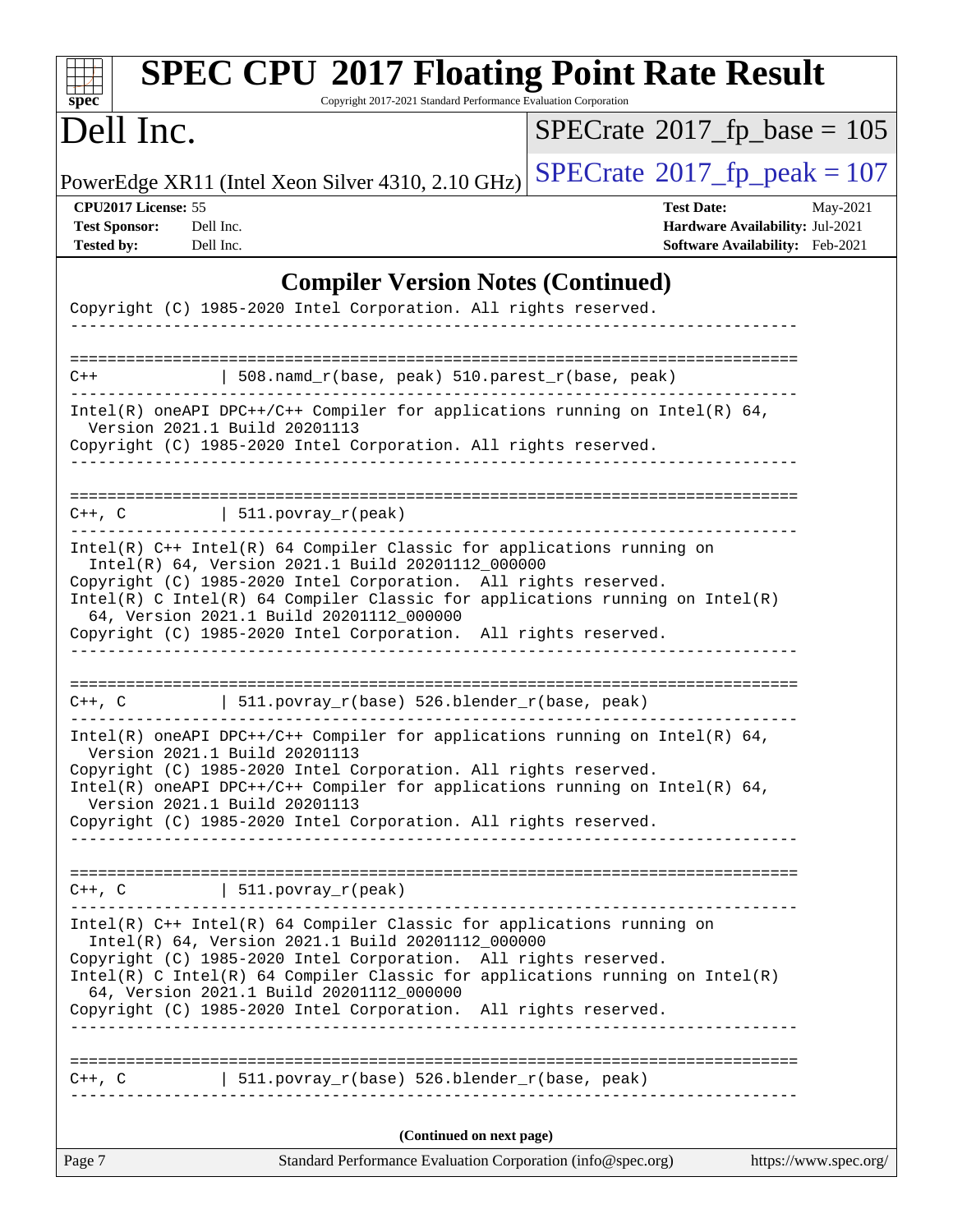| <b>SPEC CPU®2017 Floating Point Rate Result</b><br>Copyright 2017-2021 Standard Performance Evaluation Corporation<br>spec <sup>®</sup>                                                                                                                                                                                                                                                          |                                                                                                     |
|--------------------------------------------------------------------------------------------------------------------------------------------------------------------------------------------------------------------------------------------------------------------------------------------------------------------------------------------------------------------------------------------------|-----------------------------------------------------------------------------------------------------|
| Dell Inc.                                                                                                                                                                                                                                                                                                                                                                                        | $SPECrate^{\circ}2017$ fp base = 105                                                                |
| PowerEdge XR11 (Intel Xeon Silver 4310, 2.10 GHz)                                                                                                                                                                                                                                                                                                                                                | $SPECrate^{\circ}2017$ _fp_peak = 107                                                               |
| CPU2017 License: 55<br><b>Test Sponsor:</b><br>Dell Inc.<br><b>Tested by:</b><br>Dell Inc.                                                                                                                                                                                                                                                                                                       | <b>Test Date:</b><br>May-2021<br>Hardware Availability: Jul-2021<br>Software Availability: Feb-2021 |
| <b>Compiler Version Notes (Continued)</b>                                                                                                                                                                                                                                                                                                                                                        |                                                                                                     |
| Copyright (C) 1985-2020 Intel Corporation. All rights reserved.                                                                                                                                                                                                                                                                                                                                  |                                                                                                     |
| 508.namd_r(base, peak) 510.parest_r(base, peak)<br>$C++$                                                                                                                                                                                                                                                                                                                                         |                                                                                                     |
| Intel(R) oneAPI DPC++/C++ Compiler for applications running on Intel(R) 64,<br>Version 2021.1 Build 20201113<br>Copyright (C) 1985-2020 Intel Corporation. All rights reserved.                                                                                                                                                                                                                  |                                                                                                     |
| $C++$ , C $\qquad \qquad$ 511.povray_r(peak)                                                                                                                                                                                                                                                                                                                                                     |                                                                                                     |
| $Intel(R)$ C++ Intel(R) 64 Compiler Classic for applications running on<br>Intel(R) 64, Version 2021.1 Build 20201112_000000<br>Copyright (C) 1985-2020 Intel Corporation. All rights reserved.<br>$Intel(R)$ C Intel(R) 64 Compiler Classic for applications running on Intel(R)<br>64, Version 2021.1 Build 20201112_000000<br>Copyright (C) 1985-2020 Intel Corporation. All rights reserved. |                                                                                                     |
| $C++$ , C $\qquad \qquad$ 511.povray_r(base) 526.blender_r(base, peak)                                                                                                                                                                                                                                                                                                                           |                                                                                                     |
| $Intel(R)$ oneAPI DPC++/C++ Compiler for applications running on Intel(R) 64,<br>Version 2021.1 Build 20201113<br>Copyright (C) 1985-2020 Intel Corporation. All rights reserved.<br>Intel(R) oneAPI DPC++/C++ Compiler for applications running on Intel(R) $64$ ,<br>Version 2021.1 Build 20201113<br>Copyright (C) 1985-2020 Intel Corporation. All rights reserved.                          |                                                                                                     |
| $C++$ , C $\qquad \qquad$ 511.povray_r(peak)<br>-------------                                                                                                                                                                                                                                                                                                                                    |                                                                                                     |
| Intel(R) C++ Intel(R) 64 Compiler Classic for applications running on<br>Intel(R) 64, Version 2021.1 Build 20201112 000000<br>Copyright (C) 1985-2020 Intel Corporation. All rights reserved.<br>$Intel(R)$ C Intel(R) 64 Compiler Classic for applications running on Intel(R)<br>64, Version 2021.1 Build 20201112_000000<br>Copyright (C) 1985-2020 Intel Corporation. All rights reserved.   |                                                                                                     |
| $C++$ , C $\qquad \qquad$ 511.povray_r(base) 526.blender_r(base, peak)                                                                                                                                                                                                                                                                                                                           |                                                                                                     |
| (Continued on next page)                                                                                                                                                                                                                                                                                                                                                                         |                                                                                                     |
| Page 7<br>Standard Performance Evaluation Corporation (info@spec.org)                                                                                                                                                                                                                                                                                                                            | https://www.spec.org/                                                                               |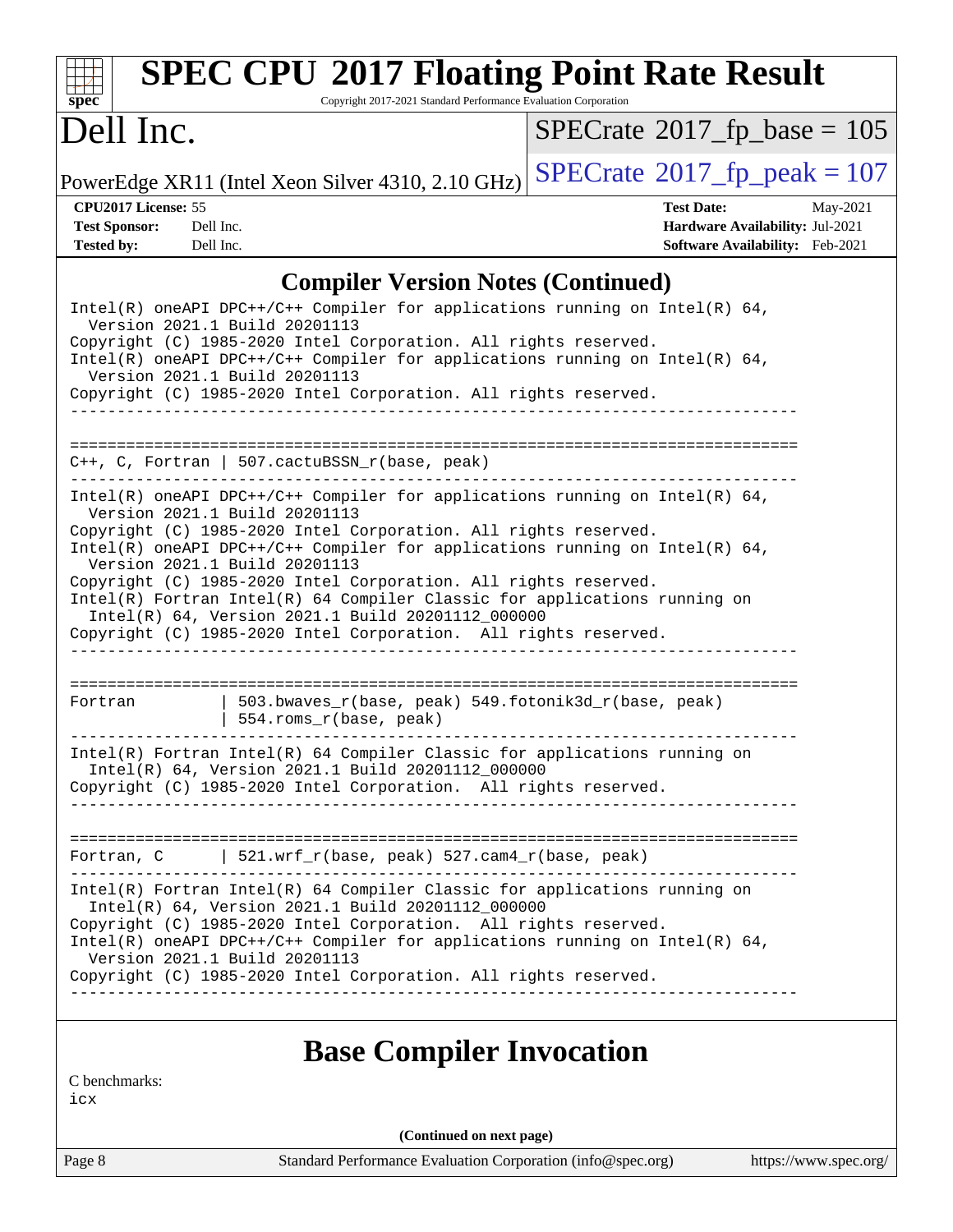

# **[SPEC CPU](http://www.spec.org/auto/cpu2017/Docs/result-fields.html#SPECCPU2017FloatingPointRateResult)[2017 Floating Point Rate Result](http://www.spec.org/auto/cpu2017/Docs/result-fields.html#SPECCPU2017FloatingPointRateResult)**

Copyright 2017-2021 Standard Performance Evaluation Corporation

# Dell Inc.

 $SPECrate$ <sup>®</sup>[2017\\_fp\\_base =](http://www.spec.org/auto/cpu2017/Docs/result-fields.html#SPECrate2017fpbase) 105

PowerEdge XR11 (Intel Xeon Silver 4310, 2.10 GHz)  $\left|$  [SPECrate](http://www.spec.org/auto/cpu2017/Docs/result-fields.html#SPECrate2017fppeak)<sup>®</sup>[2017\\_fp\\_peak = 1](http://www.spec.org/auto/cpu2017/Docs/result-fields.html#SPECrate2017fppeak)07

**[CPU2017 License:](http://www.spec.org/auto/cpu2017/Docs/result-fields.html#CPU2017License)** 55 **[Test Date:](http://www.spec.org/auto/cpu2017/Docs/result-fields.html#TestDate)** May-2021 **[Test Sponsor:](http://www.spec.org/auto/cpu2017/Docs/result-fields.html#TestSponsor)** Dell Inc. **[Hardware Availability:](http://www.spec.org/auto/cpu2017/Docs/result-fields.html#HardwareAvailability)** Jul-2021 **[Tested by:](http://www.spec.org/auto/cpu2017/Docs/result-fields.html#Testedby)** Dell Inc. **[Software Availability:](http://www.spec.org/auto/cpu2017/Docs/result-fields.html#SoftwareAvailability)** Feb-2021

### **[Compiler Version Notes \(Continued\)](http://www.spec.org/auto/cpu2017/Docs/result-fields.html#CompilerVersionNotes)**

| Version 2021.1 Build 20201113<br>Version 2021.1 Build 20201113 | Intel(R) oneAPI DPC++/C++ Compiler for applications running on Intel(R) $64$ ,<br>Copyright (C) 1985-2020 Intel Corporation. All rights reserved.<br>Intel(R) oneAPI DPC++/C++ Compiler for applications running on Intel(R) $64$ ,<br>Copyright (C) 1985-2020 Intel Corporation. All rights reserved.                                                                                                                                                                                                     |
|----------------------------------------------------------------|------------------------------------------------------------------------------------------------------------------------------------------------------------------------------------------------------------------------------------------------------------------------------------------------------------------------------------------------------------------------------------------------------------------------------------------------------------------------------------------------------------|
|                                                                | $C++$ , C, Fortran   507.cactuBSSN_r(base, peak)                                                                                                                                                                                                                                                                                                                                                                                                                                                           |
| Version 2021.1 Build 20201113<br>Version 2021.1 Build 20201113 | $Intel(R)$ oneAPI DPC++/C++ Compiler for applications running on Intel(R) 64,<br>Copyright (C) 1985-2020 Intel Corporation. All rights reserved.<br>Intel(R) oneAPI DPC++/C++ Compiler for applications running on Intel(R) $64$ ,<br>Copyright (C) 1985-2020 Intel Corporation. All rights reserved.<br>Intel(R) Fortran Intel(R) 64 Compiler Classic for applications running on<br>Intel(R) 64, Version 2021.1 Build 20201112_000000<br>Copyright (C) 1985-2020 Intel Corporation. All rights reserved. |
| Fortran                                                        | 503.bwaves_r(base, peak) 549.fotonik3d_r(base, peak)<br>  554.roms_r(base, peak)                                                                                                                                                                                                                                                                                                                                                                                                                           |
|                                                                | $Intel(R)$ Fortran Intel(R) 64 Compiler Classic for applications running on<br>Intel(R) 64, Version 2021.1 Build 20201112_000000<br>Copyright (C) 1985-2020 Intel Corporation. All rights reserved.                                                                                                                                                                                                                                                                                                        |
|                                                                | Fortran, C   521.wrf_r(base, peak) 527.cam4_r(base, peak)                                                                                                                                                                                                                                                                                                                                                                                                                                                  |
| Version 2021.1 Build 20201113                                  | $Intel(R)$ Fortran Intel(R) 64 Compiler Classic for applications running on<br>Intel(R) 64, Version 2021.1 Build 20201112_000000<br>Copyright (C) 1985-2020 Intel Corporation. All rights reserved.<br>Intel(R) oneAPI DPC++/C++ Compiler for applications running on Intel(R) $64$ ,<br>Copyright (C) 1985-2020 Intel Corporation. All rights reserved.                                                                                                                                                   |

# **[Base Compiler Invocation](http://www.spec.org/auto/cpu2017/Docs/result-fields.html#BaseCompilerInvocation)**

[C benchmarks:](http://www.spec.org/auto/cpu2017/Docs/result-fields.html#Cbenchmarks)

[icx](http://www.spec.org/cpu2017/results/res2021q3/cpu2017-20210621-27635.flags.html#user_CCbase_intel_icx_fe2d28d19ae2a5db7c42fe0f2a2aed77cb715edd4aeb23434404a8be6683fe239869bb6ca8154ca98265c2e3b9226a719a0efe2953a4a7018c379b7010ccf087)

**(Continued on next page)**

Page 8 Standard Performance Evaluation Corporation [\(info@spec.org\)](mailto:info@spec.org) <https://www.spec.org/>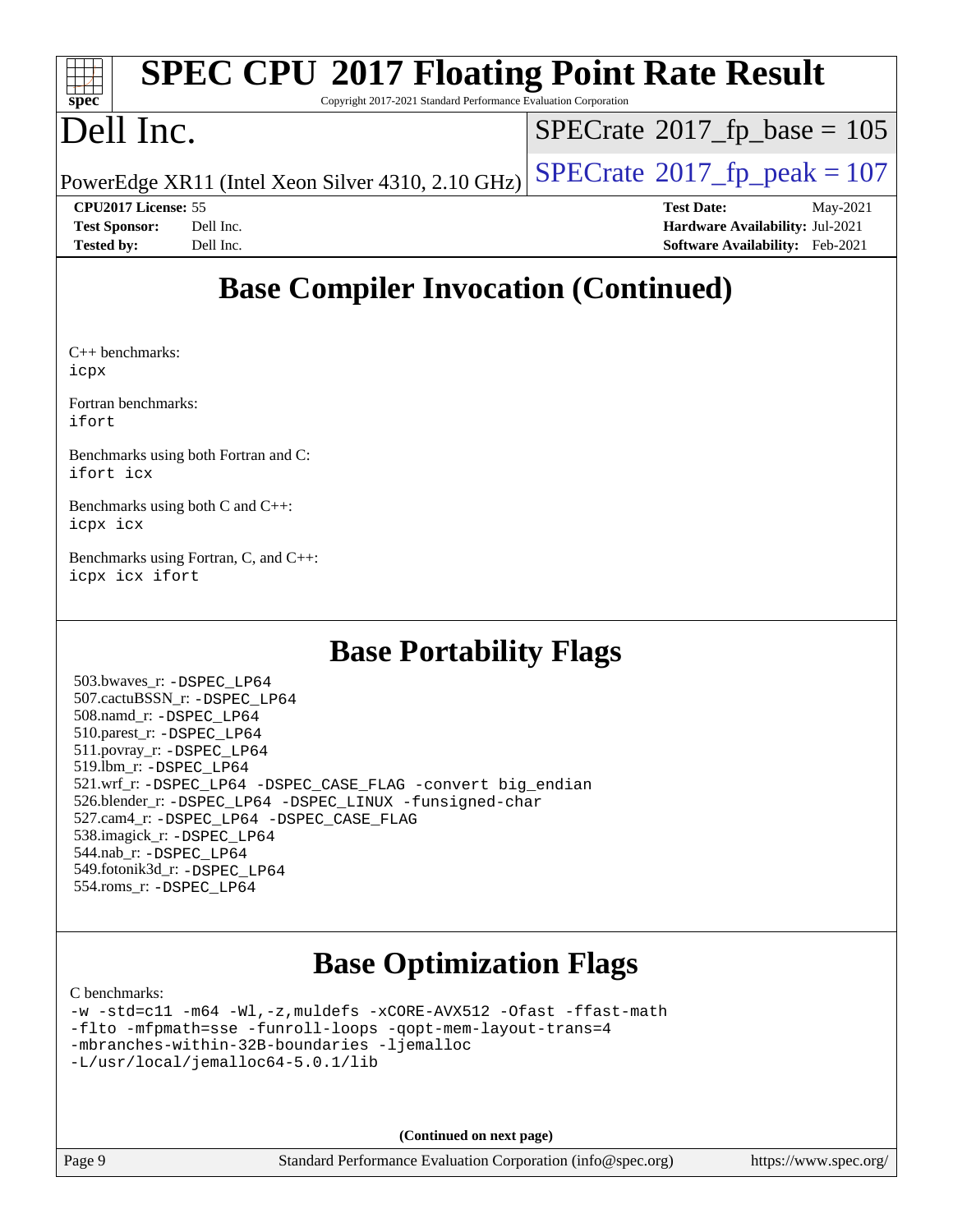| Spec                       | <b>SPEC CPU®2017 Floating Point Rate Result</b><br>Copyright 2017-2021 Standard Performance Evaluation Corporation |                                              |          |
|----------------------------|--------------------------------------------------------------------------------------------------------------------|----------------------------------------------|----------|
| Dell Inc.                  |                                                                                                                    | $SPECrate^{\circledcirc}2017$ _fp_base = 105 |          |
|                            | PowerEdge XR11 (Intel Xeon Silver 4310, 2.10 GHz)                                                                  | $ SPECrate^{\circledast}2017_fp\_peak = 107$ |          |
| <b>CPU2017 License: 55</b> |                                                                                                                    | <b>Test Date:</b>                            | May-2021 |
| <b>Test Sponsor:</b>       | Dell Inc.                                                                                                          | Hardware Availability: Jul-2021              |          |
| <b>Tested by:</b>          | Dell Inc.                                                                                                          | <b>Software Availability:</b> Feb-2021       |          |

# **[Base Compiler Invocation \(Continued\)](http://www.spec.org/auto/cpu2017/Docs/result-fields.html#BaseCompilerInvocation)**

[C++ benchmarks](http://www.spec.org/auto/cpu2017/Docs/result-fields.html#CXXbenchmarks): [icpx](http://www.spec.org/cpu2017/results/res2021q3/cpu2017-20210621-27635.flags.html#user_CXXbase_intel_icpx_1e918ed14c436bf4b9b7c8bcdd51d4539fc71b3df010bd1e9f8732d9c34c2b2914e48204a846820f3c0ebb4095dea797a5c30b458ac0b6dffac65d78f781f5ca)

[Fortran benchmarks](http://www.spec.org/auto/cpu2017/Docs/result-fields.html#Fortranbenchmarks): [ifort](http://www.spec.org/cpu2017/results/res2021q3/cpu2017-20210621-27635.flags.html#user_FCbase_intel_ifort_8111460550e3ca792625aed983ce982f94888b8b503583aa7ba2b8303487b4d8a21a13e7191a45c5fd58ff318f48f9492884d4413fa793fd88dd292cad7027ca)

[Benchmarks using both Fortran and C:](http://www.spec.org/auto/cpu2017/Docs/result-fields.html#BenchmarksusingbothFortranandC) [ifort](http://www.spec.org/cpu2017/results/res2021q3/cpu2017-20210621-27635.flags.html#user_CC_FCbase_intel_ifort_8111460550e3ca792625aed983ce982f94888b8b503583aa7ba2b8303487b4d8a21a13e7191a45c5fd58ff318f48f9492884d4413fa793fd88dd292cad7027ca) [icx](http://www.spec.org/cpu2017/results/res2021q3/cpu2017-20210621-27635.flags.html#user_CC_FCbase_intel_icx_fe2d28d19ae2a5db7c42fe0f2a2aed77cb715edd4aeb23434404a8be6683fe239869bb6ca8154ca98265c2e3b9226a719a0efe2953a4a7018c379b7010ccf087)

[Benchmarks using both C and C++](http://www.spec.org/auto/cpu2017/Docs/result-fields.html#BenchmarksusingbothCandCXX): [icpx](http://www.spec.org/cpu2017/results/res2021q3/cpu2017-20210621-27635.flags.html#user_CC_CXXbase_intel_icpx_1e918ed14c436bf4b9b7c8bcdd51d4539fc71b3df010bd1e9f8732d9c34c2b2914e48204a846820f3c0ebb4095dea797a5c30b458ac0b6dffac65d78f781f5ca) [icx](http://www.spec.org/cpu2017/results/res2021q3/cpu2017-20210621-27635.flags.html#user_CC_CXXbase_intel_icx_fe2d28d19ae2a5db7c42fe0f2a2aed77cb715edd4aeb23434404a8be6683fe239869bb6ca8154ca98265c2e3b9226a719a0efe2953a4a7018c379b7010ccf087)

[Benchmarks using Fortran, C, and C++:](http://www.spec.org/auto/cpu2017/Docs/result-fields.html#BenchmarksusingFortranCandCXX) [icpx](http://www.spec.org/cpu2017/results/res2021q3/cpu2017-20210621-27635.flags.html#user_CC_CXX_FCbase_intel_icpx_1e918ed14c436bf4b9b7c8bcdd51d4539fc71b3df010bd1e9f8732d9c34c2b2914e48204a846820f3c0ebb4095dea797a5c30b458ac0b6dffac65d78f781f5ca) [icx](http://www.spec.org/cpu2017/results/res2021q3/cpu2017-20210621-27635.flags.html#user_CC_CXX_FCbase_intel_icx_fe2d28d19ae2a5db7c42fe0f2a2aed77cb715edd4aeb23434404a8be6683fe239869bb6ca8154ca98265c2e3b9226a719a0efe2953a4a7018c379b7010ccf087) [ifort](http://www.spec.org/cpu2017/results/res2021q3/cpu2017-20210621-27635.flags.html#user_CC_CXX_FCbase_intel_ifort_8111460550e3ca792625aed983ce982f94888b8b503583aa7ba2b8303487b4d8a21a13e7191a45c5fd58ff318f48f9492884d4413fa793fd88dd292cad7027ca)

## **[Base Portability Flags](http://www.spec.org/auto/cpu2017/Docs/result-fields.html#BasePortabilityFlags)**

 503.bwaves\_r: [-DSPEC\\_LP64](http://www.spec.org/cpu2017/results/res2021q3/cpu2017-20210621-27635.flags.html#suite_basePORTABILITY503_bwaves_r_DSPEC_LP64) 507.cactuBSSN\_r: [-DSPEC\\_LP64](http://www.spec.org/cpu2017/results/res2021q3/cpu2017-20210621-27635.flags.html#suite_basePORTABILITY507_cactuBSSN_r_DSPEC_LP64) 508.namd\_r: [-DSPEC\\_LP64](http://www.spec.org/cpu2017/results/res2021q3/cpu2017-20210621-27635.flags.html#suite_basePORTABILITY508_namd_r_DSPEC_LP64) 510.parest\_r: [-DSPEC\\_LP64](http://www.spec.org/cpu2017/results/res2021q3/cpu2017-20210621-27635.flags.html#suite_basePORTABILITY510_parest_r_DSPEC_LP64) 511.povray\_r: [-DSPEC\\_LP64](http://www.spec.org/cpu2017/results/res2021q3/cpu2017-20210621-27635.flags.html#suite_basePORTABILITY511_povray_r_DSPEC_LP64) 519.lbm\_r: [-DSPEC\\_LP64](http://www.spec.org/cpu2017/results/res2021q3/cpu2017-20210621-27635.flags.html#suite_basePORTABILITY519_lbm_r_DSPEC_LP64) 521.wrf\_r: [-DSPEC\\_LP64](http://www.spec.org/cpu2017/results/res2021q3/cpu2017-20210621-27635.flags.html#suite_basePORTABILITY521_wrf_r_DSPEC_LP64) [-DSPEC\\_CASE\\_FLAG](http://www.spec.org/cpu2017/results/res2021q3/cpu2017-20210621-27635.flags.html#b521.wrf_r_baseCPORTABILITY_DSPEC_CASE_FLAG) [-convert big\\_endian](http://www.spec.org/cpu2017/results/res2021q3/cpu2017-20210621-27635.flags.html#user_baseFPORTABILITY521_wrf_r_convert_big_endian_c3194028bc08c63ac5d04de18c48ce6d347e4e562e8892b8bdbdc0214820426deb8554edfa529a3fb25a586e65a3d812c835984020483e7e73212c4d31a38223) 526.blender\_r: [-DSPEC\\_LP64](http://www.spec.org/cpu2017/results/res2021q3/cpu2017-20210621-27635.flags.html#suite_basePORTABILITY526_blender_r_DSPEC_LP64) [-DSPEC\\_LINUX](http://www.spec.org/cpu2017/results/res2021q3/cpu2017-20210621-27635.flags.html#b526.blender_r_baseCPORTABILITY_DSPEC_LINUX) [-funsigned-char](http://www.spec.org/cpu2017/results/res2021q3/cpu2017-20210621-27635.flags.html#user_baseCPORTABILITY526_blender_r_force_uchar_40c60f00ab013830e2dd6774aeded3ff59883ba5a1fc5fc14077f794d777847726e2a5858cbc7672e36e1b067e7e5c1d9a74f7176df07886a243d7cc18edfe67) 527.cam4\_r: [-DSPEC\\_LP64](http://www.spec.org/cpu2017/results/res2021q3/cpu2017-20210621-27635.flags.html#suite_basePORTABILITY527_cam4_r_DSPEC_LP64) [-DSPEC\\_CASE\\_FLAG](http://www.spec.org/cpu2017/results/res2021q3/cpu2017-20210621-27635.flags.html#b527.cam4_r_baseCPORTABILITY_DSPEC_CASE_FLAG) 538.imagick\_r: [-DSPEC\\_LP64](http://www.spec.org/cpu2017/results/res2021q3/cpu2017-20210621-27635.flags.html#suite_basePORTABILITY538_imagick_r_DSPEC_LP64) 544.nab\_r: [-DSPEC\\_LP64](http://www.spec.org/cpu2017/results/res2021q3/cpu2017-20210621-27635.flags.html#suite_basePORTABILITY544_nab_r_DSPEC_LP64) 549.fotonik3d\_r: [-DSPEC\\_LP64](http://www.spec.org/cpu2017/results/res2021q3/cpu2017-20210621-27635.flags.html#suite_basePORTABILITY549_fotonik3d_r_DSPEC_LP64) 554.roms\_r: [-DSPEC\\_LP64](http://www.spec.org/cpu2017/results/res2021q3/cpu2017-20210621-27635.flags.html#suite_basePORTABILITY554_roms_r_DSPEC_LP64)

## **[Base Optimization Flags](http://www.spec.org/auto/cpu2017/Docs/result-fields.html#BaseOptimizationFlags)**

[C benchmarks](http://www.spec.org/auto/cpu2017/Docs/result-fields.html#Cbenchmarks):

| $-w$ -std=c11 -m64 -Wl.-z.muldefs -xCORE-AVX512 -Ofast -ffast-math         |
|----------------------------------------------------------------------------|
| $-f$ lto $-mf$ pmath= $s$ se $-funroll$ -loops $-q$ opt-mem-layout-trans=4 |
| -mbranches-within-32B-boundaries -liemalloc                                |
| $-L/usr/local/iemalloc64-5.0.1/lib$                                        |

**(Continued on next page)**

Page 9 Standard Performance Evaluation Corporation [\(info@spec.org\)](mailto:info@spec.org) <https://www.spec.org/>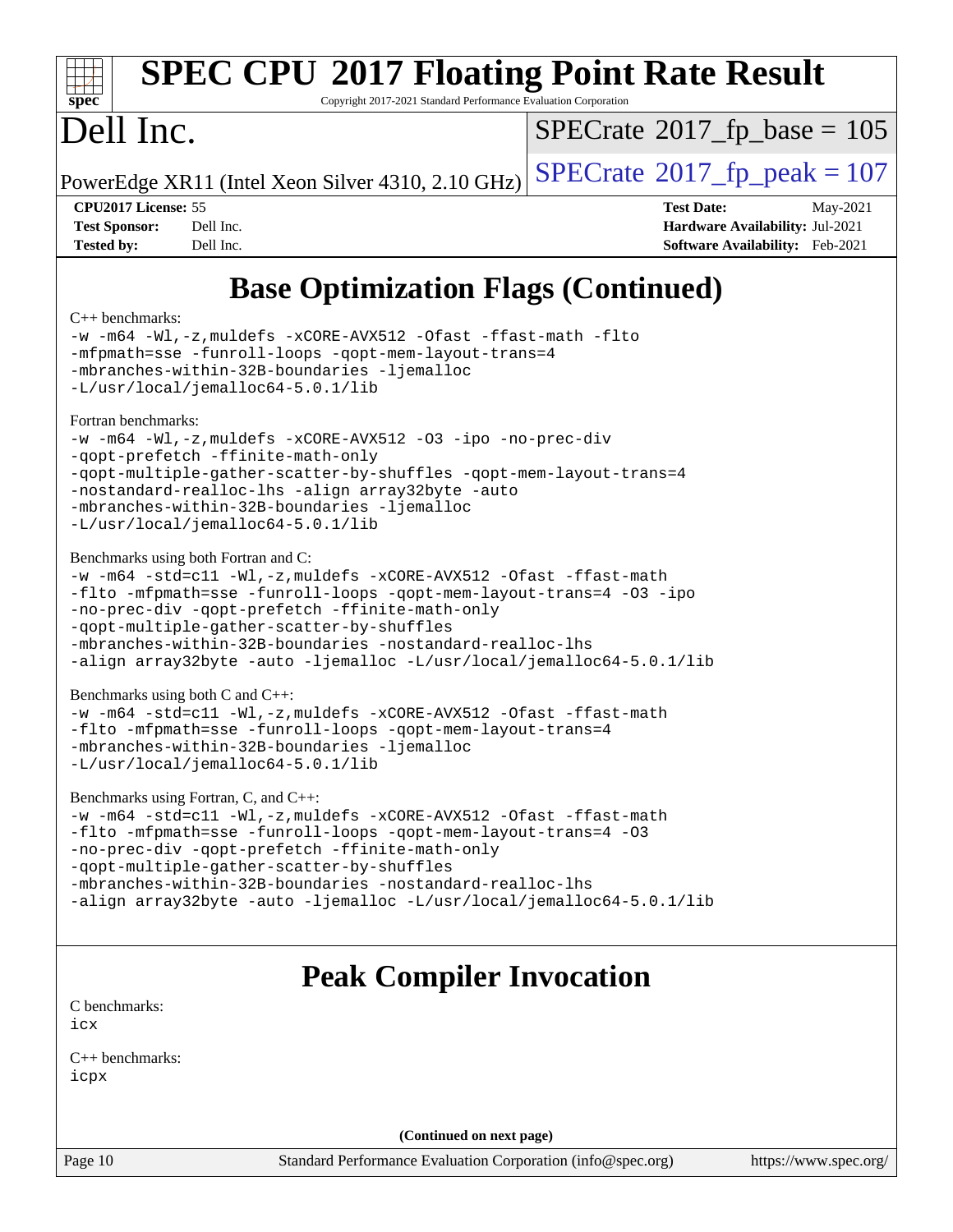

# **[SPEC CPU](http://www.spec.org/auto/cpu2017/Docs/result-fields.html#SPECCPU2017FloatingPointRateResult)[2017 Floating Point Rate Result](http://www.spec.org/auto/cpu2017/Docs/result-fields.html#SPECCPU2017FloatingPointRateResult)**

Copyright 2017-2021 Standard Performance Evaluation Corporation

# Dell Inc.

 $SPECTate$ <sup>®</sup>[2017\\_fp\\_base =](http://www.spec.org/auto/cpu2017/Docs/result-fields.html#SPECrate2017fpbase) 105

PowerEdge XR11 (Intel Xeon Silver 4310, 2.10 GHz)  $\text{SPECrate}^{\otimes}2017$  $\text{SPECrate}^{\otimes}2017$  $\text{SPECrate}^{\otimes}2017$  fp peak = 107

**[CPU2017 License:](http://www.spec.org/auto/cpu2017/Docs/result-fields.html#CPU2017License)** 55 **[Test Date:](http://www.spec.org/auto/cpu2017/Docs/result-fields.html#TestDate)** May-2021 **[Test Sponsor:](http://www.spec.org/auto/cpu2017/Docs/result-fields.html#TestSponsor)** Dell Inc. **[Hardware Availability:](http://www.spec.org/auto/cpu2017/Docs/result-fields.html#HardwareAvailability)** Jul-2021 **[Tested by:](http://www.spec.org/auto/cpu2017/Docs/result-fields.html#Testedby)** Dell Inc. **[Software Availability:](http://www.spec.org/auto/cpu2017/Docs/result-fields.html#SoftwareAvailability)** Feb-2021

# **[Base Optimization Flags \(Continued\)](http://www.spec.org/auto/cpu2017/Docs/result-fields.html#BaseOptimizationFlags)**

#### [C++ benchmarks:](http://www.spec.org/auto/cpu2017/Docs/result-fields.html#CXXbenchmarks)

[-w](http://www.spec.org/cpu2017/results/res2021q3/cpu2017-20210621-27635.flags.html#user_CXXbase_supress_warning_66fb2c4e5c1dd10f38bdd29623979399e5ae75ae6e5453792d82ef66afed381df4a8602f92cac8d2ea0fffa7b93b4b1ccb9ecad4af01c9b2fe338b2082ae3859) [-m64](http://www.spec.org/cpu2017/results/res2021q3/cpu2017-20210621-27635.flags.html#user_CXXbase_m64-icc) [-Wl,-z,muldefs](http://www.spec.org/cpu2017/results/res2021q3/cpu2017-20210621-27635.flags.html#user_CXXbase_link_force_multiple1_b4cbdb97b34bdee9ceefcfe54f4c8ea74255f0b02a4b23e853cdb0e18eb4525ac79b5a88067c842dd0ee6996c24547a27a4b99331201badda8798ef8a743f577) [-xCORE-AVX512](http://www.spec.org/cpu2017/results/res2021q3/cpu2017-20210621-27635.flags.html#user_CXXbase_f-xCORE-AVX512) [-Ofast](http://www.spec.org/cpu2017/results/res2021q3/cpu2017-20210621-27635.flags.html#user_CXXbase_f-Ofast) [-ffast-math](http://www.spec.org/cpu2017/results/res2021q3/cpu2017-20210621-27635.flags.html#user_CXXbase_f-ffast-math) [-flto](http://www.spec.org/cpu2017/results/res2021q3/cpu2017-20210621-27635.flags.html#user_CXXbase_f-flto) [-mfpmath=sse](http://www.spec.org/cpu2017/results/res2021q3/cpu2017-20210621-27635.flags.html#user_CXXbase_f-mfpmath_70eb8fac26bde974f8ab713bc9086c5621c0b8d2f6c86f38af0bd7062540daf19db5f3a066d8c6684be05d84c9b6322eb3b5be6619d967835195b93d6c02afa1) [-funroll-loops](http://www.spec.org/cpu2017/results/res2021q3/cpu2017-20210621-27635.flags.html#user_CXXbase_f-funroll-loops) [-qopt-mem-layout-trans=4](http://www.spec.org/cpu2017/results/res2021q3/cpu2017-20210621-27635.flags.html#user_CXXbase_f-qopt-mem-layout-trans_fa39e755916c150a61361b7846f310bcdf6f04e385ef281cadf3647acec3f0ae266d1a1d22d972a7087a248fd4e6ca390a3634700869573d231a252c784941a8) [-mbranches-within-32B-boundaries](http://www.spec.org/cpu2017/results/res2021q3/cpu2017-20210621-27635.flags.html#user_CXXbase_f-mbranches-within-32B-boundaries) [-ljemalloc](http://www.spec.org/cpu2017/results/res2021q3/cpu2017-20210621-27635.flags.html#user_CXXbase_jemalloc_link_lib_d1249b907c500fa1c0672f44f562e3d0f79738ae9e3c4a9c376d49f265a04b9c99b167ecedbf6711b3085be911c67ff61f150a17b3472be731631ba4d0471706) [-L/usr/local/jemalloc64-5.0.1/lib](http://www.spec.org/cpu2017/results/res2021q3/cpu2017-20210621-27635.flags.html#user_CXXbase_jemalloc_link_path64_1_cc289568b1a6c0fd3b62c91b824c27fcb5af5e8098e6ad028160d21144ef1b8aef3170d2acf0bee98a8da324cfe4f67d0a3d0c4cc4673d993d694dc2a0df248b) [Fortran benchmarks](http://www.spec.org/auto/cpu2017/Docs/result-fields.html#Fortranbenchmarks): [-w](http://www.spec.org/cpu2017/results/res2021q3/cpu2017-20210621-27635.flags.html#user_FCbase_supress_warning_66fb2c4e5c1dd10f38bdd29623979399e5ae75ae6e5453792d82ef66afed381df4a8602f92cac8d2ea0fffa7b93b4b1ccb9ecad4af01c9b2fe338b2082ae3859) [-m64](http://www.spec.org/cpu2017/results/res2021q3/cpu2017-20210621-27635.flags.html#user_FCbase_m64-icc) [-Wl,-z,muldefs](http://www.spec.org/cpu2017/results/res2021q3/cpu2017-20210621-27635.flags.html#user_FCbase_link_force_multiple1_b4cbdb97b34bdee9ceefcfe54f4c8ea74255f0b02a4b23e853cdb0e18eb4525ac79b5a88067c842dd0ee6996c24547a27a4b99331201badda8798ef8a743f577) [-xCORE-AVX512](http://www.spec.org/cpu2017/results/res2021q3/cpu2017-20210621-27635.flags.html#user_FCbase_f-xCORE-AVX512) [-O3](http://www.spec.org/cpu2017/results/res2021q3/cpu2017-20210621-27635.flags.html#user_FCbase_f-O3) [-ipo](http://www.spec.org/cpu2017/results/res2021q3/cpu2017-20210621-27635.flags.html#user_FCbase_f-ipo) [-no-prec-div](http://www.spec.org/cpu2017/results/res2021q3/cpu2017-20210621-27635.flags.html#user_FCbase_f-no-prec-div) [-qopt-prefetch](http://www.spec.org/cpu2017/results/res2021q3/cpu2017-20210621-27635.flags.html#user_FCbase_f-qopt-prefetch) [-ffinite-math-only](http://www.spec.org/cpu2017/results/res2021q3/cpu2017-20210621-27635.flags.html#user_FCbase_f_finite_math_only_cb91587bd2077682c4b38af759c288ed7c732db004271a9512da14a4f8007909a5f1427ecbf1a0fb78ff2a814402c6114ac565ca162485bbcae155b5e4258871) [-qopt-multiple-gather-scatter-by-shuffles](http://www.spec.org/cpu2017/results/res2021q3/cpu2017-20210621-27635.flags.html#user_FCbase_f-qopt-multiple-gather-scatter-by-shuffles) [-qopt-mem-layout-trans=4](http://www.spec.org/cpu2017/results/res2021q3/cpu2017-20210621-27635.flags.html#user_FCbase_f-qopt-mem-layout-trans_fa39e755916c150a61361b7846f310bcdf6f04e385ef281cadf3647acec3f0ae266d1a1d22d972a7087a248fd4e6ca390a3634700869573d231a252c784941a8) [-nostandard-realloc-lhs](http://www.spec.org/cpu2017/results/res2021q3/cpu2017-20210621-27635.flags.html#user_FCbase_f_2003_std_realloc_82b4557e90729c0f113870c07e44d33d6f5a304b4f63d4c15d2d0f1fab99f5daaed73bdb9275d9ae411527f28b936061aa8b9c8f2d63842963b95c9dd6426b8a) [-align array32byte](http://www.spec.org/cpu2017/results/res2021q3/cpu2017-20210621-27635.flags.html#user_FCbase_align_array32byte_b982fe038af199962ba9a80c053b8342c548c85b40b8e86eb3cc33dee0d7986a4af373ac2d51c3f7cf710a18d62fdce2948f201cd044323541f22fc0fffc51b6) [-auto](http://www.spec.org/cpu2017/results/res2021q3/cpu2017-20210621-27635.flags.html#user_FCbase_f-auto) [-mbranches-within-32B-boundaries](http://www.spec.org/cpu2017/results/res2021q3/cpu2017-20210621-27635.flags.html#user_FCbase_f-mbranches-within-32B-boundaries) [-ljemalloc](http://www.spec.org/cpu2017/results/res2021q3/cpu2017-20210621-27635.flags.html#user_FCbase_jemalloc_link_lib_d1249b907c500fa1c0672f44f562e3d0f79738ae9e3c4a9c376d49f265a04b9c99b167ecedbf6711b3085be911c67ff61f150a17b3472be731631ba4d0471706) [-L/usr/local/jemalloc64-5.0.1/lib](http://www.spec.org/cpu2017/results/res2021q3/cpu2017-20210621-27635.flags.html#user_FCbase_jemalloc_link_path64_1_cc289568b1a6c0fd3b62c91b824c27fcb5af5e8098e6ad028160d21144ef1b8aef3170d2acf0bee98a8da324cfe4f67d0a3d0c4cc4673d993d694dc2a0df248b) [Benchmarks using both Fortran and C](http://www.spec.org/auto/cpu2017/Docs/result-fields.html#BenchmarksusingbothFortranandC): [-w](http://www.spec.org/cpu2017/results/res2021q3/cpu2017-20210621-27635.flags.html#user_CC_FCbase_supress_warning_66fb2c4e5c1dd10f38bdd29623979399e5ae75ae6e5453792d82ef66afed381df4a8602f92cac8d2ea0fffa7b93b4b1ccb9ecad4af01c9b2fe338b2082ae3859) [-m64](http://www.spec.org/cpu2017/results/res2021q3/cpu2017-20210621-27635.flags.html#user_CC_FCbase_m64-icc) [-std=c11](http://www.spec.org/cpu2017/results/res2021q3/cpu2017-20210621-27635.flags.html#user_CC_FCbase_std-icc-std_0e1c27790398a4642dfca32ffe6c27b5796f9c2d2676156f2e42c9c44eaad0c049b1cdb667a270c34d979996257aeb8fc440bfb01818dbc9357bd9d174cb8524) [-Wl,-z,muldefs](http://www.spec.org/cpu2017/results/res2021q3/cpu2017-20210621-27635.flags.html#user_CC_FCbase_link_force_multiple1_b4cbdb97b34bdee9ceefcfe54f4c8ea74255f0b02a4b23e853cdb0e18eb4525ac79b5a88067c842dd0ee6996c24547a27a4b99331201badda8798ef8a743f577) [-xCORE-AVX512](http://www.spec.org/cpu2017/results/res2021q3/cpu2017-20210621-27635.flags.html#user_CC_FCbase_f-xCORE-AVX512) [-Ofast](http://www.spec.org/cpu2017/results/res2021q3/cpu2017-20210621-27635.flags.html#user_CC_FCbase_f-Ofast) [-ffast-math](http://www.spec.org/cpu2017/results/res2021q3/cpu2017-20210621-27635.flags.html#user_CC_FCbase_f-ffast-math) [-flto](http://www.spec.org/cpu2017/results/res2021q3/cpu2017-20210621-27635.flags.html#user_CC_FCbase_f-flto) [-mfpmath=sse](http://www.spec.org/cpu2017/results/res2021q3/cpu2017-20210621-27635.flags.html#user_CC_FCbase_f-mfpmath_70eb8fac26bde974f8ab713bc9086c5621c0b8d2f6c86f38af0bd7062540daf19db5f3a066d8c6684be05d84c9b6322eb3b5be6619d967835195b93d6c02afa1) [-funroll-loops](http://www.spec.org/cpu2017/results/res2021q3/cpu2017-20210621-27635.flags.html#user_CC_FCbase_f-funroll-loops) [-qopt-mem-layout-trans=4](http://www.spec.org/cpu2017/results/res2021q3/cpu2017-20210621-27635.flags.html#user_CC_FCbase_f-qopt-mem-layout-trans_fa39e755916c150a61361b7846f310bcdf6f04e385ef281cadf3647acec3f0ae266d1a1d22d972a7087a248fd4e6ca390a3634700869573d231a252c784941a8) [-O3](http://www.spec.org/cpu2017/results/res2021q3/cpu2017-20210621-27635.flags.html#user_CC_FCbase_f-O3) [-ipo](http://www.spec.org/cpu2017/results/res2021q3/cpu2017-20210621-27635.flags.html#user_CC_FCbase_f-ipo) [-no-prec-div](http://www.spec.org/cpu2017/results/res2021q3/cpu2017-20210621-27635.flags.html#user_CC_FCbase_f-no-prec-div) [-qopt-prefetch](http://www.spec.org/cpu2017/results/res2021q3/cpu2017-20210621-27635.flags.html#user_CC_FCbase_f-qopt-prefetch) [-ffinite-math-only](http://www.spec.org/cpu2017/results/res2021q3/cpu2017-20210621-27635.flags.html#user_CC_FCbase_f_finite_math_only_cb91587bd2077682c4b38af759c288ed7c732db004271a9512da14a4f8007909a5f1427ecbf1a0fb78ff2a814402c6114ac565ca162485bbcae155b5e4258871) [-qopt-multiple-gather-scatter-by-shuffles](http://www.spec.org/cpu2017/results/res2021q3/cpu2017-20210621-27635.flags.html#user_CC_FCbase_f-qopt-multiple-gather-scatter-by-shuffles) [-mbranches-within-32B-boundaries](http://www.spec.org/cpu2017/results/res2021q3/cpu2017-20210621-27635.flags.html#user_CC_FCbase_f-mbranches-within-32B-boundaries) [-nostandard-realloc-lhs](http://www.spec.org/cpu2017/results/res2021q3/cpu2017-20210621-27635.flags.html#user_CC_FCbase_f_2003_std_realloc_82b4557e90729c0f113870c07e44d33d6f5a304b4f63d4c15d2d0f1fab99f5daaed73bdb9275d9ae411527f28b936061aa8b9c8f2d63842963b95c9dd6426b8a) [-align array32byte](http://www.spec.org/cpu2017/results/res2021q3/cpu2017-20210621-27635.flags.html#user_CC_FCbase_align_array32byte_b982fe038af199962ba9a80c053b8342c548c85b40b8e86eb3cc33dee0d7986a4af373ac2d51c3f7cf710a18d62fdce2948f201cd044323541f22fc0fffc51b6) [-auto](http://www.spec.org/cpu2017/results/res2021q3/cpu2017-20210621-27635.flags.html#user_CC_FCbase_f-auto) [-ljemalloc](http://www.spec.org/cpu2017/results/res2021q3/cpu2017-20210621-27635.flags.html#user_CC_FCbase_jemalloc_link_lib_d1249b907c500fa1c0672f44f562e3d0f79738ae9e3c4a9c376d49f265a04b9c99b167ecedbf6711b3085be911c67ff61f150a17b3472be731631ba4d0471706) [-L/usr/local/jemalloc64-5.0.1/lib](http://www.spec.org/cpu2017/results/res2021q3/cpu2017-20210621-27635.flags.html#user_CC_FCbase_jemalloc_link_path64_1_cc289568b1a6c0fd3b62c91b824c27fcb5af5e8098e6ad028160d21144ef1b8aef3170d2acf0bee98a8da324cfe4f67d0a3d0c4cc4673d993d694dc2a0df248b) [Benchmarks using both C and C++](http://www.spec.org/auto/cpu2017/Docs/result-fields.html#BenchmarksusingbothCandCXX): [-w](http://www.spec.org/cpu2017/results/res2021q3/cpu2017-20210621-27635.flags.html#user_CC_CXXbase_supress_warning_66fb2c4e5c1dd10f38bdd29623979399e5ae75ae6e5453792d82ef66afed381df4a8602f92cac8d2ea0fffa7b93b4b1ccb9ecad4af01c9b2fe338b2082ae3859) [-m64](http://www.spec.org/cpu2017/results/res2021q3/cpu2017-20210621-27635.flags.html#user_CC_CXXbase_m64-icc) [-std=c11](http://www.spec.org/cpu2017/results/res2021q3/cpu2017-20210621-27635.flags.html#user_CC_CXXbase_std-icc-std_0e1c27790398a4642dfca32ffe6c27b5796f9c2d2676156f2e42c9c44eaad0c049b1cdb667a270c34d979996257aeb8fc440bfb01818dbc9357bd9d174cb8524) [-Wl,-z,muldefs](http://www.spec.org/cpu2017/results/res2021q3/cpu2017-20210621-27635.flags.html#user_CC_CXXbase_link_force_multiple1_b4cbdb97b34bdee9ceefcfe54f4c8ea74255f0b02a4b23e853cdb0e18eb4525ac79b5a88067c842dd0ee6996c24547a27a4b99331201badda8798ef8a743f577) [-xCORE-AVX512](http://www.spec.org/cpu2017/results/res2021q3/cpu2017-20210621-27635.flags.html#user_CC_CXXbase_f-xCORE-AVX512) [-Ofast](http://www.spec.org/cpu2017/results/res2021q3/cpu2017-20210621-27635.flags.html#user_CC_CXXbase_f-Ofast) [-ffast-math](http://www.spec.org/cpu2017/results/res2021q3/cpu2017-20210621-27635.flags.html#user_CC_CXXbase_f-ffast-math) [-flto](http://www.spec.org/cpu2017/results/res2021q3/cpu2017-20210621-27635.flags.html#user_CC_CXXbase_f-flto) [-mfpmath=sse](http://www.spec.org/cpu2017/results/res2021q3/cpu2017-20210621-27635.flags.html#user_CC_CXXbase_f-mfpmath_70eb8fac26bde974f8ab713bc9086c5621c0b8d2f6c86f38af0bd7062540daf19db5f3a066d8c6684be05d84c9b6322eb3b5be6619d967835195b93d6c02afa1) [-funroll-loops](http://www.spec.org/cpu2017/results/res2021q3/cpu2017-20210621-27635.flags.html#user_CC_CXXbase_f-funroll-loops) [-qopt-mem-layout-trans=4](http://www.spec.org/cpu2017/results/res2021q3/cpu2017-20210621-27635.flags.html#user_CC_CXXbase_f-qopt-mem-layout-trans_fa39e755916c150a61361b7846f310bcdf6f04e385ef281cadf3647acec3f0ae266d1a1d22d972a7087a248fd4e6ca390a3634700869573d231a252c784941a8) [-mbranches-within-32B-boundaries](http://www.spec.org/cpu2017/results/res2021q3/cpu2017-20210621-27635.flags.html#user_CC_CXXbase_f-mbranches-within-32B-boundaries) [-ljemalloc](http://www.spec.org/cpu2017/results/res2021q3/cpu2017-20210621-27635.flags.html#user_CC_CXXbase_jemalloc_link_lib_d1249b907c500fa1c0672f44f562e3d0f79738ae9e3c4a9c376d49f265a04b9c99b167ecedbf6711b3085be911c67ff61f150a17b3472be731631ba4d0471706) [-L/usr/local/jemalloc64-5.0.1/lib](http://www.spec.org/cpu2017/results/res2021q3/cpu2017-20210621-27635.flags.html#user_CC_CXXbase_jemalloc_link_path64_1_cc289568b1a6c0fd3b62c91b824c27fcb5af5e8098e6ad028160d21144ef1b8aef3170d2acf0bee98a8da324cfe4f67d0a3d0c4cc4673d993d694dc2a0df248b) [Benchmarks using Fortran, C, and C++:](http://www.spec.org/auto/cpu2017/Docs/result-fields.html#BenchmarksusingFortranCandCXX) [-w](http://www.spec.org/cpu2017/results/res2021q3/cpu2017-20210621-27635.flags.html#user_CC_CXX_FCbase_supress_warning_66fb2c4e5c1dd10f38bdd29623979399e5ae75ae6e5453792d82ef66afed381df4a8602f92cac8d2ea0fffa7b93b4b1ccb9ecad4af01c9b2fe338b2082ae3859) [-m64](http://www.spec.org/cpu2017/results/res2021q3/cpu2017-20210621-27635.flags.html#user_CC_CXX_FCbase_m64-icc) [-std=c11](http://www.spec.org/cpu2017/results/res2021q3/cpu2017-20210621-27635.flags.html#user_CC_CXX_FCbase_std-icc-std_0e1c27790398a4642dfca32ffe6c27b5796f9c2d2676156f2e42c9c44eaad0c049b1cdb667a270c34d979996257aeb8fc440bfb01818dbc9357bd9d174cb8524) [-Wl,-z,muldefs](http://www.spec.org/cpu2017/results/res2021q3/cpu2017-20210621-27635.flags.html#user_CC_CXX_FCbase_link_force_multiple1_b4cbdb97b34bdee9ceefcfe54f4c8ea74255f0b02a4b23e853cdb0e18eb4525ac79b5a88067c842dd0ee6996c24547a27a4b99331201badda8798ef8a743f577) [-xCORE-AVX512](http://www.spec.org/cpu2017/results/res2021q3/cpu2017-20210621-27635.flags.html#user_CC_CXX_FCbase_f-xCORE-AVX512) [-Ofast](http://www.spec.org/cpu2017/results/res2021q3/cpu2017-20210621-27635.flags.html#user_CC_CXX_FCbase_f-Ofast) [-ffast-math](http://www.spec.org/cpu2017/results/res2021q3/cpu2017-20210621-27635.flags.html#user_CC_CXX_FCbase_f-ffast-math) [-flto](http://www.spec.org/cpu2017/results/res2021q3/cpu2017-20210621-27635.flags.html#user_CC_CXX_FCbase_f-flto) [-mfpmath=sse](http://www.spec.org/cpu2017/results/res2021q3/cpu2017-20210621-27635.flags.html#user_CC_CXX_FCbase_f-mfpmath_70eb8fac26bde974f8ab713bc9086c5621c0b8d2f6c86f38af0bd7062540daf19db5f3a066d8c6684be05d84c9b6322eb3b5be6619d967835195b93d6c02afa1) [-funroll-loops](http://www.spec.org/cpu2017/results/res2021q3/cpu2017-20210621-27635.flags.html#user_CC_CXX_FCbase_f-funroll-loops) [-qopt-mem-layout-trans=4](http://www.spec.org/cpu2017/results/res2021q3/cpu2017-20210621-27635.flags.html#user_CC_CXX_FCbase_f-qopt-mem-layout-trans_fa39e755916c150a61361b7846f310bcdf6f04e385ef281cadf3647acec3f0ae266d1a1d22d972a7087a248fd4e6ca390a3634700869573d231a252c784941a8) [-O3](http://www.spec.org/cpu2017/results/res2021q3/cpu2017-20210621-27635.flags.html#user_CC_CXX_FCbase_f-O3) [-no-prec-div](http://www.spec.org/cpu2017/results/res2021q3/cpu2017-20210621-27635.flags.html#user_CC_CXX_FCbase_f-no-prec-div) [-qopt-prefetch](http://www.spec.org/cpu2017/results/res2021q3/cpu2017-20210621-27635.flags.html#user_CC_CXX_FCbase_f-qopt-prefetch) [-ffinite-math-only](http://www.spec.org/cpu2017/results/res2021q3/cpu2017-20210621-27635.flags.html#user_CC_CXX_FCbase_f_finite_math_only_cb91587bd2077682c4b38af759c288ed7c732db004271a9512da14a4f8007909a5f1427ecbf1a0fb78ff2a814402c6114ac565ca162485bbcae155b5e4258871) [-qopt-multiple-gather-scatter-by-shuffles](http://www.spec.org/cpu2017/results/res2021q3/cpu2017-20210621-27635.flags.html#user_CC_CXX_FCbase_f-qopt-multiple-gather-scatter-by-shuffles) [-mbranches-within-32B-boundaries](http://www.spec.org/cpu2017/results/res2021q3/cpu2017-20210621-27635.flags.html#user_CC_CXX_FCbase_f-mbranches-within-32B-boundaries) [-nostandard-realloc-lhs](http://www.spec.org/cpu2017/results/res2021q3/cpu2017-20210621-27635.flags.html#user_CC_CXX_FCbase_f_2003_std_realloc_82b4557e90729c0f113870c07e44d33d6f5a304b4f63d4c15d2d0f1fab99f5daaed73bdb9275d9ae411527f28b936061aa8b9c8f2d63842963b95c9dd6426b8a)

[-align array32byte](http://www.spec.org/cpu2017/results/res2021q3/cpu2017-20210621-27635.flags.html#user_CC_CXX_FCbase_align_array32byte_b982fe038af199962ba9a80c053b8342c548c85b40b8e86eb3cc33dee0d7986a4af373ac2d51c3f7cf710a18d62fdce2948f201cd044323541f22fc0fffc51b6) [-auto](http://www.spec.org/cpu2017/results/res2021q3/cpu2017-20210621-27635.flags.html#user_CC_CXX_FCbase_f-auto) [-ljemalloc](http://www.spec.org/cpu2017/results/res2021q3/cpu2017-20210621-27635.flags.html#user_CC_CXX_FCbase_jemalloc_link_lib_d1249b907c500fa1c0672f44f562e3d0f79738ae9e3c4a9c376d49f265a04b9c99b167ecedbf6711b3085be911c67ff61f150a17b3472be731631ba4d0471706) [-L/usr/local/jemalloc64-5.0.1/lib](http://www.spec.org/cpu2017/results/res2021q3/cpu2017-20210621-27635.flags.html#user_CC_CXX_FCbase_jemalloc_link_path64_1_cc289568b1a6c0fd3b62c91b824c27fcb5af5e8098e6ad028160d21144ef1b8aef3170d2acf0bee98a8da324cfe4f67d0a3d0c4cc4673d993d694dc2a0df248b)

# **[Peak Compiler Invocation](http://www.spec.org/auto/cpu2017/Docs/result-fields.html#PeakCompilerInvocation)**

[C benchmarks](http://www.spec.org/auto/cpu2017/Docs/result-fields.html#Cbenchmarks): [icx](http://www.spec.org/cpu2017/results/res2021q3/cpu2017-20210621-27635.flags.html#user_CCpeak_intel_icx_fe2d28d19ae2a5db7c42fe0f2a2aed77cb715edd4aeb23434404a8be6683fe239869bb6ca8154ca98265c2e3b9226a719a0efe2953a4a7018c379b7010ccf087)

[C++ benchmarks:](http://www.spec.org/auto/cpu2017/Docs/result-fields.html#CXXbenchmarks) [icpx](http://www.spec.org/cpu2017/results/res2021q3/cpu2017-20210621-27635.flags.html#user_CXXpeak_intel_icpx_1e918ed14c436bf4b9b7c8bcdd51d4539fc71b3df010bd1e9f8732d9c34c2b2914e48204a846820f3c0ebb4095dea797a5c30b458ac0b6dffac65d78f781f5ca)

**(Continued on next page)**

Page 10 Standard Performance Evaluation Corporation [\(info@spec.org\)](mailto:info@spec.org) <https://www.spec.org/>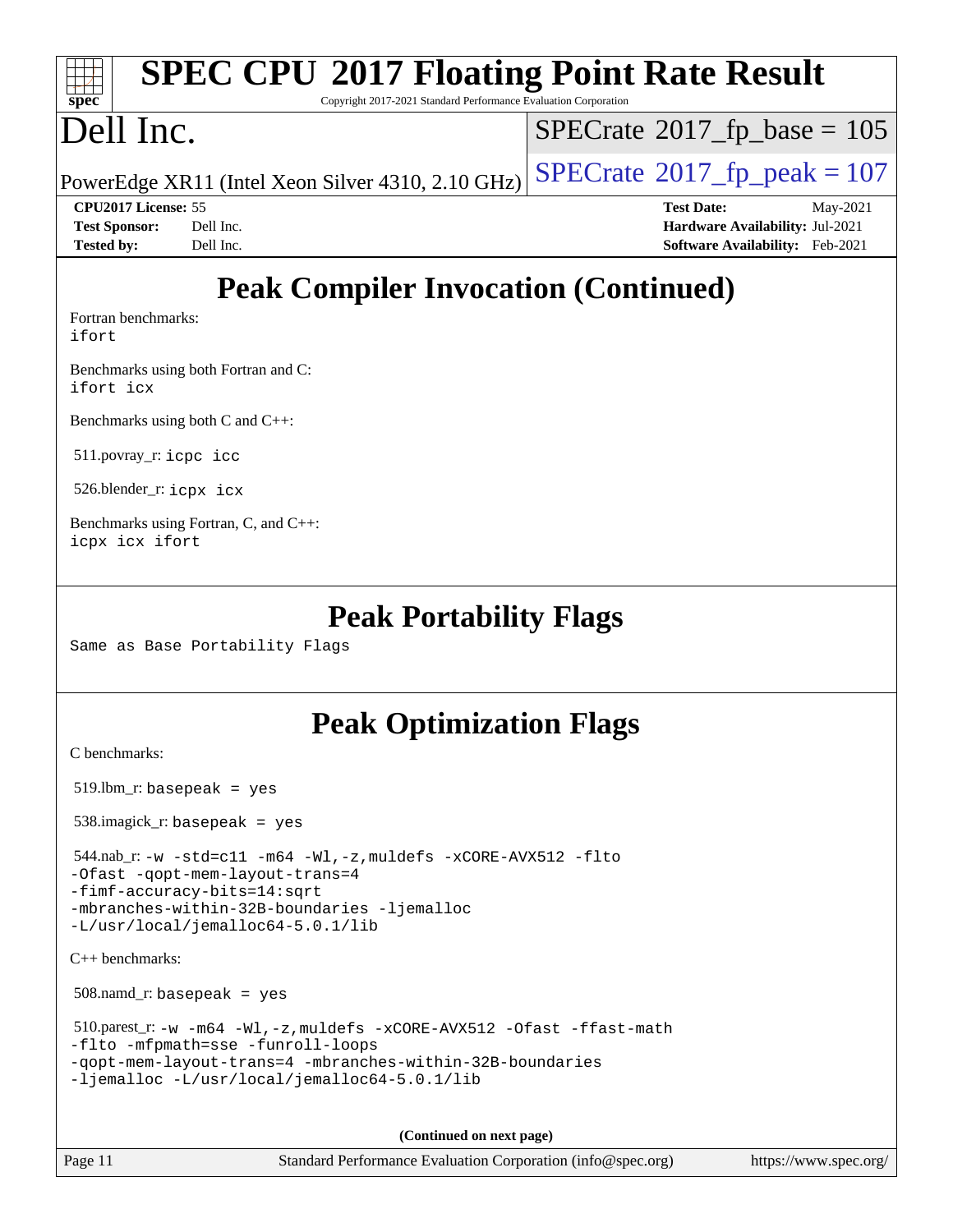#### **[spec](http://www.spec.org/) [SPEC CPU](http://www.spec.org/auto/cpu2017/Docs/result-fields.html#SPECCPU2017FloatingPointRateResult)[2017 Floating Point Rate Result](http://www.spec.org/auto/cpu2017/Docs/result-fields.html#SPECCPU2017FloatingPointRateResult)** Copyright 2017-2021 Standard Performance Evaluation Corporation Dell Inc. PowerEdge XR11 (Intel Xeon Silver 4310, 2.10 GHz)  $\left|$  [SPECrate](http://www.spec.org/auto/cpu2017/Docs/result-fields.html#SPECrate2017fppeak)<sup>®</sup>[2017\\_fp\\_peak = 1](http://www.spec.org/auto/cpu2017/Docs/result-fields.html#SPECrate2017fppeak)07  $SPECrate$ <sup>®</sup>[2017\\_fp\\_base =](http://www.spec.org/auto/cpu2017/Docs/result-fields.html#SPECrate2017fpbase) 105

**[CPU2017 License:](http://www.spec.org/auto/cpu2017/Docs/result-fields.html#CPU2017License)** 55 **[Test Date:](http://www.spec.org/auto/cpu2017/Docs/result-fields.html#TestDate)** May-2021 **[Test Sponsor:](http://www.spec.org/auto/cpu2017/Docs/result-fields.html#TestSponsor)** Dell Inc. **[Hardware Availability:](http://www.spec.org/auto/cpu2017/Docs/result-fields.html#HardwareAvailability)** Jul-2021 **[Tested by:](http://www.spec.org/auto/cpu2017/Docs/result-fields.html#Testedby)** Dell Inc. **[Software Availability:](http://www.spec.org/auto/cpu2017/Docs/result-fields.html#SoftwareAvailability)** Feb-2021

# **[Peak Compiler Invocation \(Continued\)](http://www.spec.org/auto/cpu2017/Docs/result-fields.html#PeakCompilerInvocation)**

[Fortran benchmarks](http://www.spec.org/auto/cpu2017/Docs/result-fields.html#Fortranbenchmarks): [ifort](http://www.spec.org/cpu2017/results/res2021q3/cpu2017-20210621-27635.flags.html#user_FCpeak_intel_ifort_8111460550e3ca792625aed983ce982f94888b8b503583aa7ba2b8303487b4d8a21a13e7191a45c5fd58ff318f48f9492884d4413fa793fd88dd292cad7027ca)

[Benchmarks using both Fortran and C](http://www.spec.org/auto/cpu2017/Docs/result-fields.html#BenchmarksusingbothFortranandC): [ifort](http://www.spec.org/cpu2017/results/res2021q3/cpu2017-20210621-27635.flags.html#user_CC_FCpeak_intel_ifort_8111460550e3ca792625aed983ce982f94888b8b503583aa7ba2b8303487b4d8a21a13e7191a45c5fd58ff318f48f9492884d4413fa793fd88dd292cad7027ca) [icx](http://www.spec.org/cpu2017/results/res2021q3/cpu2017-20210621-27635.flags.html#user_CC_FCpeak_intel_icx_fe2d28d19ae2a5db7c42fe0f2a2aed77cb715edd4aeb23434404a8be6683fe239869bb6ca8154ca98265c2e3b9226a719a0efe2953a4a7018c379b7010ccf087)

[Benchmarks using both C and C++](http://www.spec.org/auto/cpu2017/Docs/result-fields.html#BenchmarksusingbothCandCXX):

511.povray\_r: [icpc](http://www.spec.org/cpu2017/results/res2021q3/cpu2017-20210621-27635.flags.html#user_peakCXXLD511_povray_r_intel_icpc_c510b6838c7f56d33e37e94d029a35b4a7bccf4766a728ee175e80a419847e808290a9b78be685c44ab727ea267ec2f070ec5dc83b407c0218cded6866a35d07) [icc](http://www.spec.org/cpu2017/results/res2021q3/cpu2017-20210621-27635.flags.html#user_peakCC511_povray_r_intel_icc_66fc1ee009f7361af1fbd72ca7dcefbb700085f36577c54f309893dd4ec40d12360134090235512931783d35fd58c0460139e722d5067c5574d8eaf2b3e37e92)

526.blender\_r: [icpx](http://www.spec.org/cpu2017/results/res2021q3/cpu2017-20210621-27635.flags.html#user_peakCXXLD526_blender_r_intel_icpx_1e918ed14c436bf4b9b7c8bcdd51d4539fc71b3df010bd1e9f8732d9c34c2b2914e48204a846820f3c0ebb4095dea797a5c30b458ac0b6dffac65d78f781f5ca) [icx](http://www.spec.org/cpu2017/results/res2021q3/cpu2017-20210621-27635.flags.html#user_peakCC526_blender_r_intel_icx_fe2d28d19ae2a5db7c42fe0f2a2aed77cb715edd4aeb23434404a8be6683fe239869bb6ca8154ca98265c2e3b9226a719a0efe2953a4a7018c379b7010ccf087)

[Benchmarks using Fortran, C, and C++:](http://www.spec.org/auto/cpu2017/Docs/result-fields.html#BenchmarksusingFortranCandCXX) [icpx](http://www.spec.org/cpu2017/results/res2021q3/cpu2017-20210621-27635.flags.html#user_CC_CXX_FCpeak_intel_icpx_1e918ed14c436bf4b9b7c8bcdd51d4539fc71b3df010bd1e9f8732d9c34c2b2914e48204a846820f3c0ebb4095dea797a5c30b458ac0b6dffac65d78f781f5ca) [icx](http://www.spec.org/cpu2017/results/res2021q3/cpu2017-20210621-27635.flags.html#user_CC_CXX_FCpeak_intel_icx_fe2d28d19ae2a5db7c42fe0f2a2aed77cb715edd4aeb23434404a8be6683fe239869bb6ca8154ca98265c2e3b9226a719a0efe2953a4a7018c379b7010ccf087) [ifort](http://www.spec.org/cpu2017/results/res2021q3/cpu2017-20210621-27635.flags.html#user_CC_CXX_FCpeak_intel_ifort_8111460550e3ca792625aed983ce982f94888b8b503583aa7ba2b8303487b4d8a21a13e7191a45c5fd58ff318f48f9492884d4413fa793fd88dd292cad7027ca)

## **[Peak Portability Flags](http://www.spec.org/auto/cpu2017/Docs/result-fields.html#PeakPortabilityFlags)**

Same as Base Portability Flags

# **[Peak Optimization Flags](http://www.spec.org/auto/cpu2017/Docs/result-fields.html#PeakOptimizationFlags)**

[C benchmarks](http://www.spec.org/auto/cpu2017/Docs/result-fields.html#Cbenchmarks):

519.lbm\_r: basepeak = yes

538.imagick\_r: basepeak = yes

 544.nab\_r: [-w](http://www.spec.org/cpu2017/results/res2021q3/cpu2017-20210621-27635.flags.html#user_peakCCLD544_nab_r_supress_warning_66fb2c4e5c1dd10f38bdd29623979399e5ae75ae6e5453792d82ef66afed381df4a8602f92cac8d2ea0fffa7b93b4b1ccb9ecad4af01c9b2fe338b2082ae3859) [-std=c11](http://www.spec.org/cpu2017/results/res2021q3/cpu2017-20210621-27635.flags.html#user_peakCCLD544_nab_r_std-icc-std_0e1c27790398a4642dfca32ffe6c27b5796f9c2d2676156f2e42c9c44eaad0c049b1cdb667a270c34d979996257aeb8fc440bfb01818dbc9357bd9d174cb8524) [-m64](http://www.spec.org/cpu2017/results/res2021q3/cpu2017-20210621-27635.flags.html#user_peakCCLD544_nab_r_m64-icc) [-Wl,-z,muldefs](http://www.spec.org/cpu2017/results/res2021q3/cpu2017-20210621-27635.flags.html#user_peakEXTRA_LDFLAGS544_nab_r_link_force_multiple1_b4cbdb97b34bdee9ceefcfe54f4c8ea74255f0b02a4b23e853cdb0e18eb4525ac79b5a88067c842dd0ee6996c24547a27a4b99331201badda8798ef8a743f577) [-xCORE-AVX512](http://www.spec.org/cpu2017/results/res2021q3/cpu2017-20210621-27635.flags.html#user_peakCOPTIMIZE544_nab_r_f-xCORE-AVX512) [-flto](http://www.spec.org/cpu2017/results/res2021q3/cpu2017-20210621-27635.flags.html#user_peakCOPTIMIZE544_nab_r_f-flto) [-Ofast](http://www.spec.org/cpu2017/results/res2021q3/cpu2017-20210621-27635.flags.html#user_peakCOPTIMIZE544_nab_r_f-Ofast) [-qopt-mem-layout-trans=4](http://www.spec.org/cpu2017/results/res2021q3/cpu2017-20210621-27635.flags.html#user_peakCOPTIMIZE544_nab_r_f-qopt-mem-layout-trans_fa39e755916c150a61361b7846f310bcdf6f04e385ef281cadf3647acec3f0ae266d1a1d22d972a7087a248fd4e6ca390a3634700869573d231a252c784941a8) [-fimf-accuracy-bits=14:sqrt](http://www.spec.org/cpu2017/results/res2021q3/cpu2017-20210621-27635.flags.html#user_peakEXTRA_OPTIMIZE544_nab_r_f-imf-accuracy-bits_dec3764af0c61f52590ca8f859bc2b38948cb3a9f4bd45f959a8dd6743142ff5c0d5c89fdfba8d7c6d41a5122d7dc4d32797a5effd20a981baa30839b7373d7d)

[-mbranches-within-32B-boundaries](http://www.spec.org/cpu2017/results/res2021q3/cpu2017-20210621-27635.flags.html#user_peakEXTRA_COPTIMIZE544_nab_r_f-mbranches-within-32B-boundaries) [-ljemalloc](http://www.spec.org/cpu2017/results/res2021q3/cpu2017-20210621-27635.flags.html#user_peakEXTRA_LIBS544_nab_r_jemalloc_link_lib_d1249b907c500fa1c0672f44f562e3d0f79738ae9e3c4a9c376d49f265a04b9c99b167ecedbf6711b3085be911c67ff61f150a17b3472be731631ba4d0471706) [-L/usr/local/jemalloc64-5.0.1/lib](http://www.spec.org/cpu2017/results/res2021q3/cpu2017-20210621-27635.flags.html#user_peakEXTRA_LIBS544_nab_r_jemalloc_link_path64_1_cc289568b1a6c0fd3b62c91b824c27fcb5af5e8098e6ad028160d21144ef1b8aef3170d2acf0bee98a8da324cfe4f67d0a3d0c4cc4673d993d694dc2a0df248b)

[C++ benchmarks:](http://www.spec.org/auto/cpu2017/Docs/result-fields.html#CXXbenchmarks)

508.namd\_r: basepeak = yes

 510.parest\_r: [-w](http://www.spec.org/cpu2017/results/res2021q3/cpu2017-20210621-27635.flags.html#user_peakCXXLD510_parest_r_supress_warning_66fb2c4e5c1dd10f38bdd29623979399e5ae75ae6e5453792d82ef66afed381df4a8602f92cac8d2ea0fffa7b93b4b1ccb9ecad4af01c9b2fe338b2082ae3859) [-m64](http://www.spec.org/cpu2017/results/res2021q3/cpu2017-20210621-27635.flags.html#user_peakCXXLD510_parest_r_m64-icc) [-Wl,-z,muldefs](http://www.spec.org/cpu2017/results/res2021q3/cpu2017-20210621-27635.flags.html#user_peakEXTRA_LDFLAGS510_parest_r_link_force_multiple1_b4cbdb97b34bdee9ceefcfe54f4c8ea74255f0b02a4b23e853cdb0e18eb4525ac79b5a88067c842dd0ee6996c24547a27a4b99331201badda8798ef8a743f577) [-xCORE-AVX512](http://www.spec.org/cpu2017/results/res2021q3/cpu2017-20210621-27635.flags.html#user_peakCXXOPTIMIZE510_parest_r_f-xCORE-AVX512) [-Ofast](http://www.spec.org/cpu2017/results/res2021q3/cpu2017-20210621-27635.flags.html#user_peakCXXOPTIMIZE510_parest_r_f-Ofast) [-ffast-math](http://www.spec.org/cpu2017/results/res2021q3/cpu2017-20210621-27635.flags.html#user_peakCXXOPTIMIZE510_parest_r_f-ffast-math) [-flto](http://www.spec.org/cpu2017/results/res2021q3/cpu2017-20210621-27635.flags.html#user_peakCXXOPTIMIZE510_parest_r_f-flto) [-mfpmath=sse](http://www.spec.org/cpu2017/results/res2021q3/cpu2017-20210621-27635.flags.html#user_peakCXXOPTIMIZE510_parest_r_f-mfpmath_70eb8fac26bde974f8ab713bc9086c5621c0b8d2f6c86f38af0bd7062540daf19db5f3a066d8c6684be05d84c9b6322eb3b5be6619d967835195b93d6c02afa1) [-funroll-loops](http://www.spec.org/cpu2017/results/res2021q3/cpu2017-20210621-27635.flags.html#user_peakCXXOPTIMIZE510_parest_r_f-funroll-loops) [-qopt-mem-layout-trans=4](http://www.spec.org/cpu2017/results/res2021q3/cpu2017-20210621-27635.flags.html#user_peakCXXOPTIMIZE510_parest_r_f-qopt-mem-layout-trans_fa39e755916c150a61361b7846f310bcdf6f04e385ef281cadf3647acec3f0ae266d1a1d22d972a7087a248fd4e6ca390a3634700869573d231a252c784941a8) [-mbranches-within-32B-boundaries](http://www.spec.org/cpu2017/results/res2021q3/cpu2017-20210621-27635.flags.html#user_peakEXTRA_CXXOPTIMIZE510_parest_r_f-mbranches-within-32B-boundaries) [-ljemalloc](http://www.spec.org/cpu2017/results/res2021q3/cpu2017-20210621-27635.flags.html#user_peakEXTRA_LIBS510_parest_r_jemalloc_link_lib_d1249b907c500fa1c0672f44f562e3d0f79738ae9e3c4a9c376d49f265a04b9c99b167ecedbf6711b3085be911c67ff61f150a17b3472be731631ba4d0471706) [-L/usr/local/jemalloc64-5.0.1/lib](http://www.spec.org/cpu2017/results/res2021q3/cpu2017-20210621-27635.flags.html#user_peakEXTRA_LIBS510_parest_r_jemalloc_link_path64_1_cc289568b1a6c0fd3b62c91b824c27fcb5af5e8098e6ad028160d21144ef1b8aef3170d2acf0bee98a8da324cfe4f67d0a3d0c4cc4673d993d694dc2a0df248b)

**(Continued on next page)**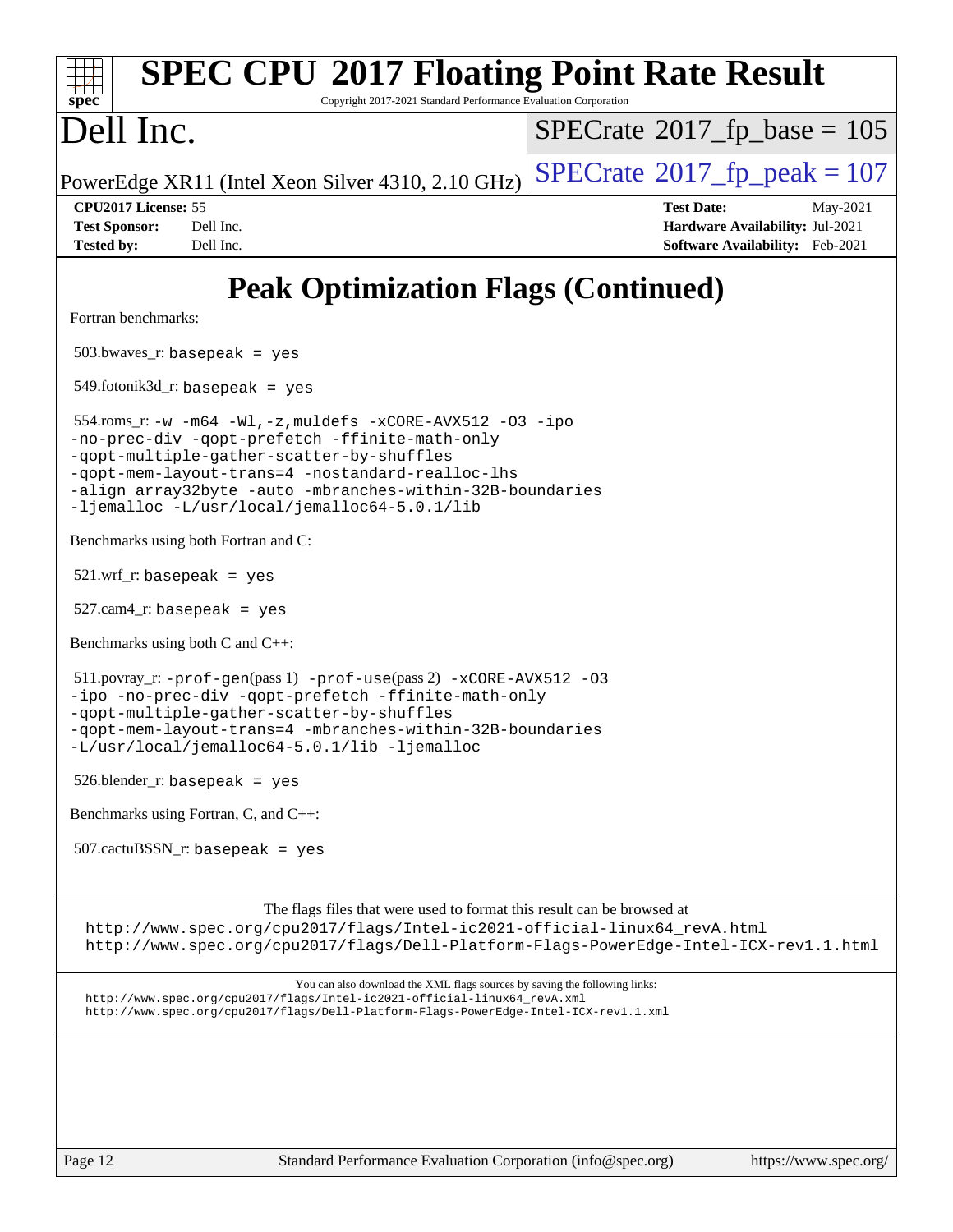| <b>SPEC CPU®2017 Floating Point Rate Result</b><br>Copyright 2017-2021 Standard Performance Evaluation Corporation<br>spec <sup>®</sup>                                                                                                                                                                                     |                                                                                                     |
|-----------------------------------------------------------------------------------------------------------------------------------------------------------------------------------------------------------------------------------------------------------------------------------------------------------------------------|-----------------------------------------------------------------------------------------------------|
| Dell Inc.                                                                                                                                                                                                                                                                                                                   | $SPECrate^{\circ}2017$ [p base = 105                                                                |
| PowerEdge XR11 (Intel Xeon Silver 4310, 2.10 GHz)                                                                                                                                                                                                                                                                           | $SPECTate$ <sup>®</sup> 2017_fp_peak = 107                                                          |
| CPU2017 License: 55<br><b>Test Sponsor:</b><br>Dell Inc.<br>Dell Inc.<br><b>Tested by:</b>                                                                                                                                                                                                                                  | <b>Test Date:</b><br>May-2021<br>Hardware Availability: Jul-2021<br>Software Availability: Feb-2021 |
| <b>Peak Optimization Flags (Continued)</b>                                                                                                                                                                                                                                                                                  |                                                                                                     |
| Fortran benchmarks:                                                                                                                                                                                                                                                                                                         |                                                                                                     |
| $503.bwaves_r: basepeak = yes$                                                                                                                                                                                                                                                                                              |                                                                                                     |
| $549$ .fotonik $3d$ _r: basepeak = yes                                                                                                                                                                                                                                                                                      |                                                                                                     |
| 554.roms_r:-w $-m64$ -Wl,-z, muldefs -xCORE-AVX512 -03 -ipo<br>-no-prec-div -qopt-prefetch -ffinite-math-only<br>-qopt-multiple-gather-scatter-by-shuffles<br>-qopt-mem-layout-trans=4 -nostandard-realloc-lhs<br>-align array32byte -auto -mbranches-within-32B-boundaries<br>-ljemalloc -L/usr/local/jemalloc64-5.0.1/lib |                                                                                                     |
| Benchmarks using both Fortran and C:                                                                                                                                                                                                                                                                                        |                                                                                                     |
| $521.wrf_r$ : basepeak = yes                                                                                                                                                                                                                                                                                                |                                                                                                     |
| $527.cam4_r$ : basepeak = yes                                                                                                                                                                                                                                                                                               |                                                                                                     |
| Benchmarks using both C and C++:                                                                                                                                                                                                                                                                                            |                                                                                                     |
| $511.$ povray_r: -prof-qen(pass 1) -prof-use(pass 2) -xCORE-AVX512 -03<br>-ipo -no-prec-div -qopt-prefetch -ffinite-math-only<br>-qopt-multiple-gather-scatter-by-shuffles<br>-qopt-mem-layout-trans=4 -mbranches-within-32B-boundaries<br>-L/usr/local/jemalloc64-5.0.1/lib -ljemalloc                                     |                                                                                                     |
| $526.$ blender_r: basepeak = yes                                                                                                                                                                                                                                                                                            |                                                                                                     |
| Benchmarks using Fortran, C, and C++:                                                                                                                                                                                                                                                                                       |                                                                                                     |
| $507.cactuBSSN_r$ : basepeak = yes                                                                                                                                                                                                                                                                                          |                                                                                                     |
| The flags files that were used to format this result can be browsed at<br>http://www.spec.org/cpu2017/flags/Intel-ic2021-official-linux64_revA.html<br>http://www.spec.org/cpu2017/flags/Dell-Platform-Flags-PowerEdge-Intel-ICX-rev1.1.html                                                                                |                                                                                                     |
| You can also download the XML flags sources by saving the following links:<br>http://www.spec.org/cpu2017/flags/Intel-ic2021-official-linux64_revA.xml<br>http://www.spec.org/cpu2017/flags/Dell-Platform-Flags-PowerEdge-Intel-ICX-rev1.1.xml                                                                              |                                                                                                     |
|                                                                                                                                                                                                                                                                                                                             |                                                                                                     |